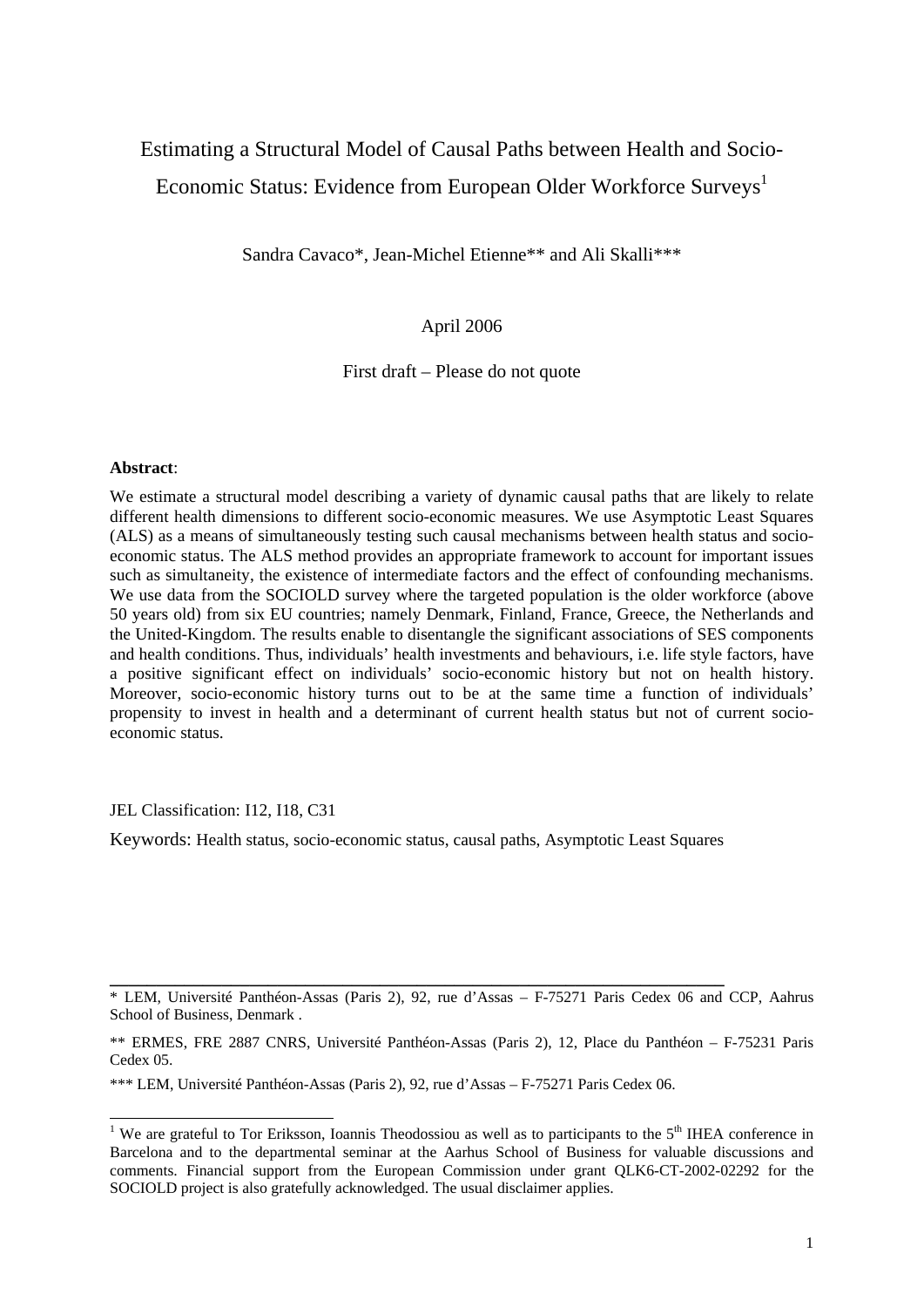## Estimating a Structural Model of Causal Paths between Health and Socio-Economic Status: Evidence from European Older Workforce Surveys<sup>1</sup>

Sandra Cavaco\*, Jean-Michel Etienne\*\* and Ali Skalli\*\*\*

#### April 2006

First draft – Please do not quote

#### **Abstract**:

We estimate a structural model describing a variety of dynamic causal paths that are likely to relate different health dimensions to different socio-economic measures. We use Asymptotic Least Squares (ALS) as a means of simultaneously testing such causal mechanisms between health status and socioeconomic status. The ALS method provides an appropriate framework to account for important issues such as simultaneity, the existence of intermediate factors and the effect of confounding mechanisms. We use data from the SOCIOLD survey where the targeted population is the older workforce (above 50 years old) from six EU countries; namely Denmark, Finland, France, Greece, the Netherlands and the United-Kingdom. The results enable to disentangle the significant associations of SES components and health conditions. Thus, individuals' health investments and behaviours, i.e. life style factors, have a positive significant effect on individuals' socio-economic history but not on health history. Moreover, socio-economic history turns out to be at the same time a function of individuals' propensity to invest in health and a determinant of current health status but not of current socioeconomic status.

JEL Classification: I12, I18, C31

Keywords: Health status, socio-economic status, causal paths, Asymptotic Least Squares

**\_\_\_\_\_\_\_\_\_\_\_\_\_\_\_\_\_\_\_\_\_\_\_\_\_\_\_\_\_\_\_\_\_\_\_\_\_\_\_\_\_\_\_\_\_\_\_\_\_\_\_\_\_\_\_\_\_\_\_\_\_\_\_\_\_\_** 

<sup>\*</sup> LEM, Université Panthéon-Assas (Paris 2), 92, rue d'Assas – F-75271 Paris Cedex 06 and CCP, Aahrus School of Business, Denmark .

<sup>\*\*</sup> ERMES, FRE 2887 CNRS, Université Panthéon-Assas (Paris 2), 12, Place du Panthéon – F-75231 Paris Cedex 05.

<sup>\*\*\*</sup> LEM, Université Panthéon-Assas (Paris 2), 92, rue d'Assas – F-75271 Paris Cedex 06.

<sup>&</sup>lt;sup>1</sup> We are grateful to Tor Eriksson, Ioannis Theodossiou as well as to participants to the 5<sup>th</sup> IHEA conference in Barcelona and to the departmental seminar at the Aarhus School of Business for valuable discussions and comments. Financial support from the European Commission under grant QLK6-CT-2002-02292 for the SOCIOLD project is also gratefully acknowledged. The usual disclaimer applies.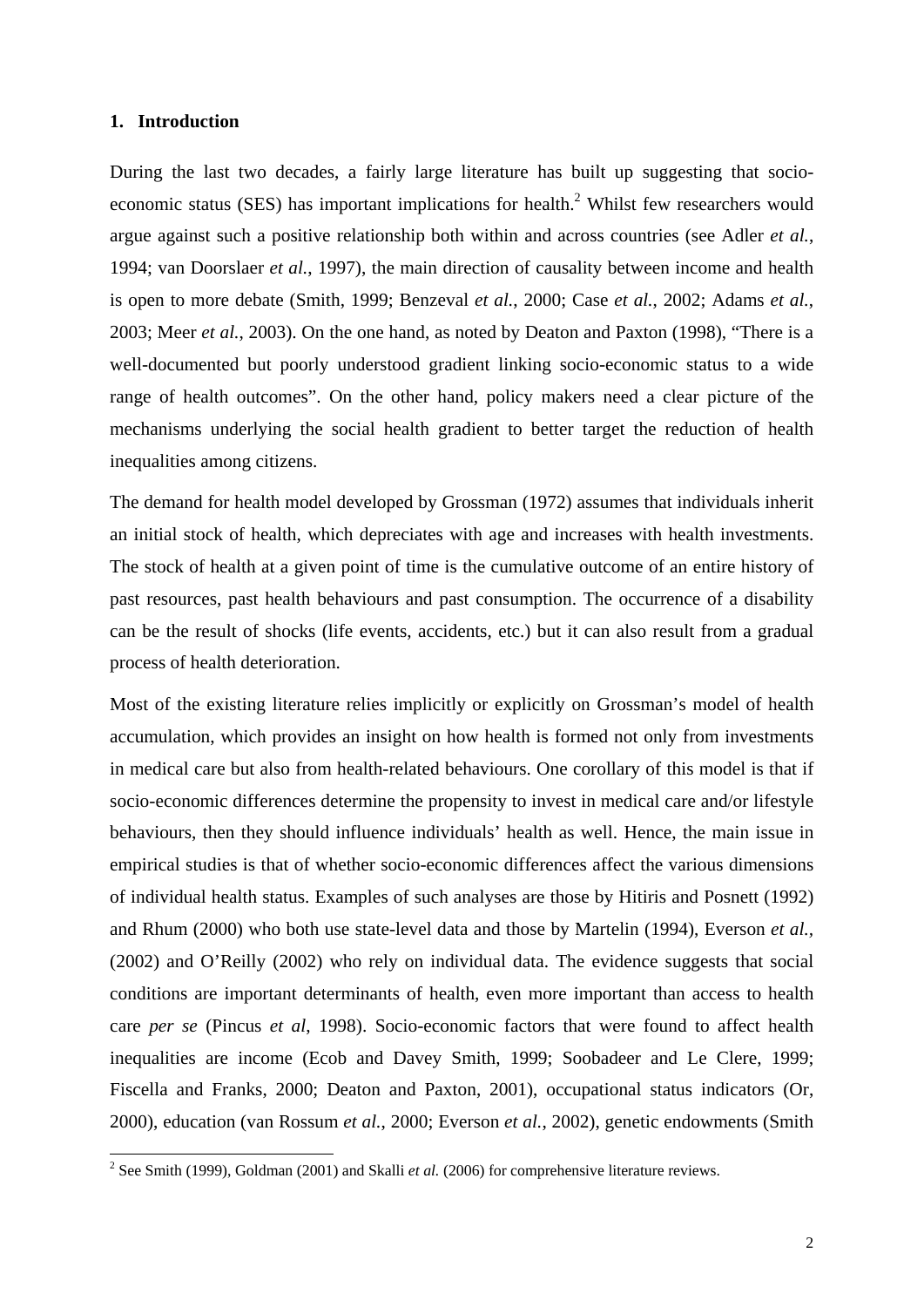#### **1. Introduction**

During the last two decades, a fairly large literature has built up suggesting that socioeconomic status (SES) has important implications for health.<sup>2</sup> Whilst few researchers would argue against such a positive relationship both within and across countries (see Adler *et al.*, 1994; van Doorslaer *et al.*, 1997), the main direction of causality between income and health is open to more debate (Smith, 1999; Benzeval *et al.*, 2000; Case *et al.*, 2002; Adams *et al.*, 2003; Meer *et al.*, 2003). On the one hand, as noted by Deaton and Paxton (1998), "There is a well-documented but poorly understood gradient linking socio-economic status to a wide range of health outcomes". On the other hand, policy makers need a clear picture of the mechanisms underlying the social health gradient to better target the reduction of health inequalities among citizens.

The demand for health model developed by Grossman (1972) assumes that individuals inherit an initial stock of health, which depreciates with age and increases with health investments. The stock of health at a given point of time is the cumulative outcome of an entire history of past resources, past health behaviours and past consumption. The occurrence of a disability can be the result of shocks (life events, accidents, etc.) but it can also result from a gradual process of health deterioration.

Most of the existing literature relies implicitly or explicitly on Grossman's model of health accumulation, which provides an insight on how health is formed not only from investments in medical care but also from health-related behaviours. One corollary of this model is that if socio-economic differences determine the propensity to invest in medical care and/or lifestyle behaviours, then they should influence individuals' health as well. Hence, the main issue in empirical studies is that of whether socio-economic differences affect the various dimensions of individual health status. Examples of such analyses are those by Hitiris and Posnett (1992) and Rhum (2000) who both use state-level data and those by Martelin (1994), Everson *et al.,* (2002) and O'Reilly (2002) who rely on individual data. The evidence suggests that social conditions are important determinants of health, even more important than access to health care *per se* (Pincus *et al*, 1998). Socio-economic factors that were found to affect health inequalities are income (Ecob and Davey Smith, 1999; Soobadeer and Le Clere, 1999; Fiscella and Franks, 2000; Deaton and Paxton, 2001), occupational status indicators (Or, 2000), education (van Rossum *et al.*, 2000; Everson *et al.*, 2002), genetic endowments (Smith

 2 See Smith (1999), Goldman (2001) and Skalli *et al.* (2006) for comprehensive literature reviews.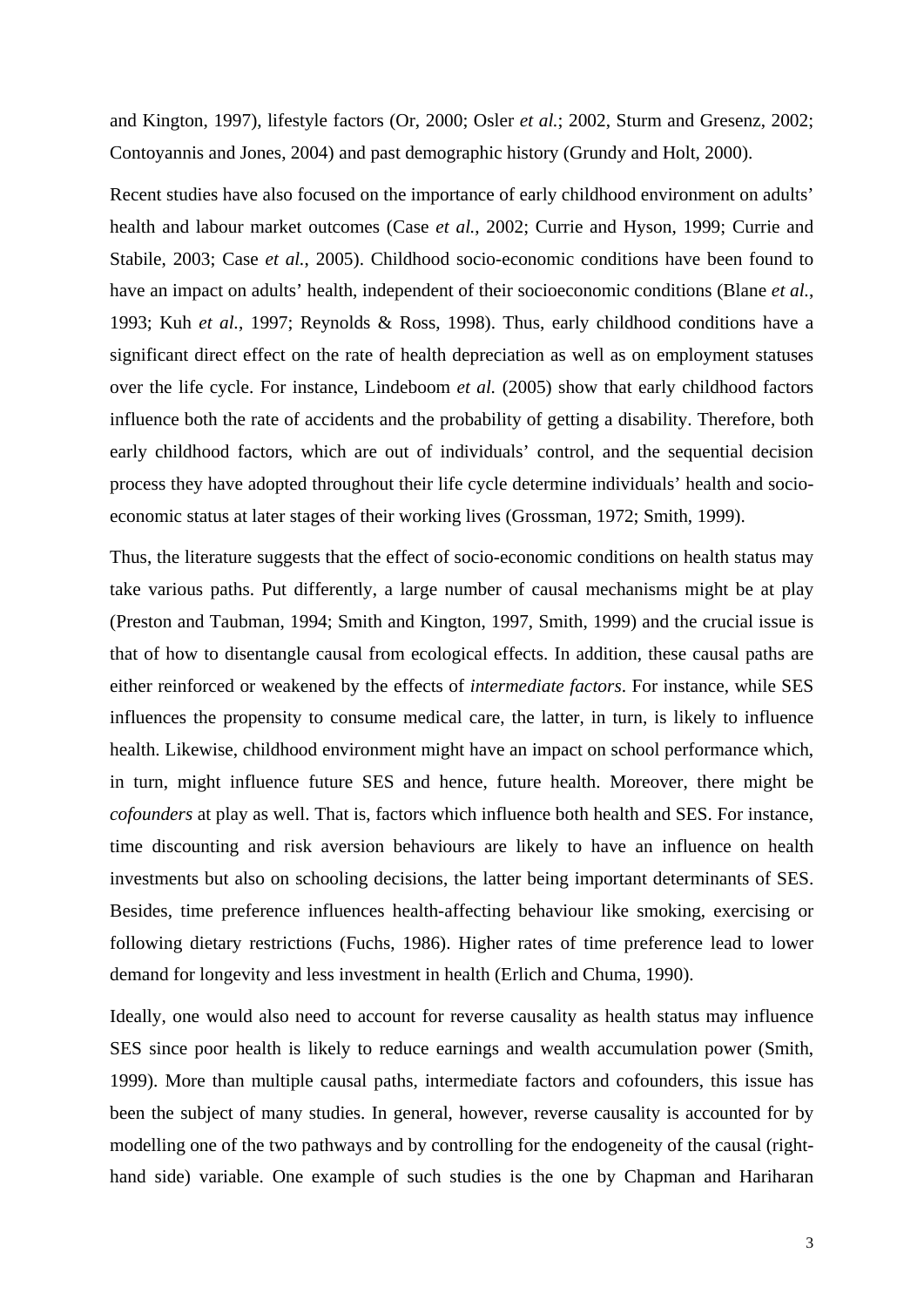and Kington, 1997), lifestyle factors (Or, 2000; Osler *et al.*; 2002, Sturm and Gresenz, 2002; Contoyannis and Jones, 2004) and past demographic history (Grundy and Holt, 2000).

Recent studies have also focused on the importance of early childhood environment on adults' health and labour market outcomes (Case *et al.*, 2002; Currie and Hyson, 1999; Currie and Stabile, 2003; Case *et al.*, 2005). Childhood socio-economic conditions have been found to have an impact on adults' health, independent of their socioeconomic conditions (Blane *et al.*, 1993; Kuh *et al.*, 1997; Reynolds & Ross, 1998). Thus, early childhood conditions have a significant direct effect on the rate of health depreciation as well as on employment statuses over the life cycle. For instance, Lindeboom *et al.* (2005) show that early childhood factors influence both the rate of accidents and the probability of getting a disability. Therefore, both early childhood factors, which are out of individuals' control, and the sequential decision process they have adopted throughout their life cycle determine individuals' health and socioeconomic status at later stages of their working lives (Grossman, 1972; Smith, 1999).

Thus, the literature suggests that the effect of socio-economic conditions on health status may take various paths. Put differently, a large number of causal mechanisms might be at play (Preston and Taubman, 1994; Smith and Kington, 1997, Smith, 1999) and the crucial issue is that of how to disentangle causal from ecological effects. In addition, these causal paths are either reinforced or weakened by the effects of *intermediate factors*. For instance, while SES influences the propensity to consume medical care, the latter, in turn, is likely to influence health. Likewise, childhood environment might have an impact on school performance which, in turn, might influence future SES and hence, future health. Moreover, there might be *cofounders* at play as well. That is, factors which influence both health and SES. For instance, time discounting and risk aversion behaviours are likely to have an influence on health investments but also on schooling decisions, the latter being important determinants of SES. Besides, time preference influences health-affecting behaviour like smoking, exercising or following dietary restrictions (Fuchs, 1986). Higher rates of time preference lead to lower demand for longevity and less investment in health (Erlich and Chuma, 1990).

Ideally, one would also need to account for reverse causality as health status may influence SES since poor health is likely to reduce earnings and wealth accumulation power (Smith, 1999). More than multiple causal paths, intermediate factors and cofounders, this issue has been the subject of many studies. In general, however, reverse causality is accounted for by modelling one of the two pathways and by controlling for the endogeneity of the causal (righthand side) variable. One example of such studies is the one by Chapman and Hariharan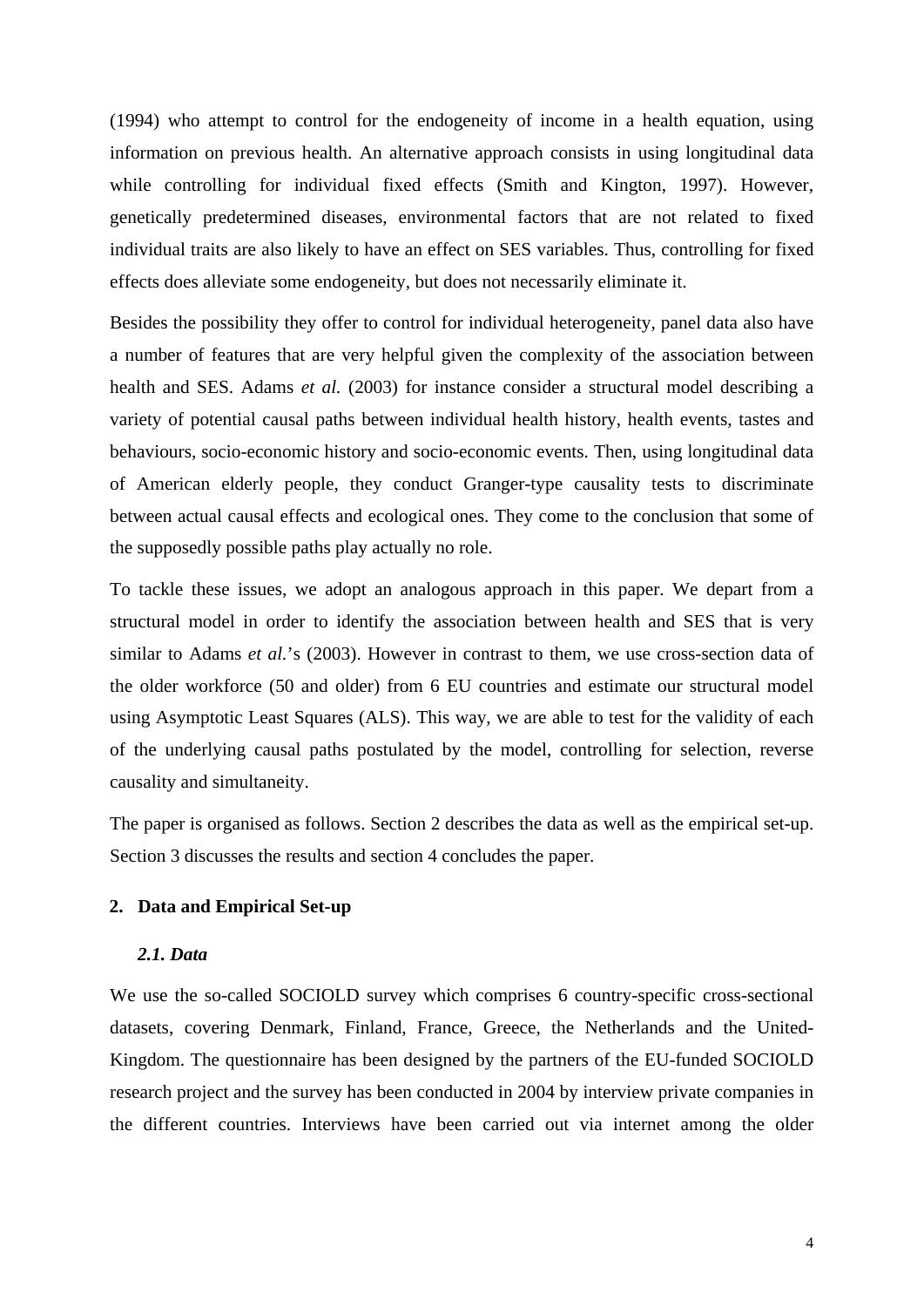(1994) who attempt to control for the endogeneity of income in a health equation, using information on previous health. An alternative approach consists in using longitudinal data while controlling for individual fixed effects (Smith and Kington, 1997). However, genetically predetermined diseases, environmental factors that are not related to fixed individual traits are also likely to have an effect on SES variables. Thus, controlling for fixed effects does alleviate some endogeneity, but does not necessarily eliminate it.

Besides the possibility they offer to control for individual heterogeneity, panel data also have a number of features that are very helpful given the complexity of the association between health and SES. Adams *et al.* (2003) for instance consider a structural model describing a variety of potential causal paths between individual health history, health events, tastes and behaviours, socio-economic history and socio-economic events. Then, using longitudinal data of American elderly people, they conduct Granger-type causality tests to discriminate between actual causal effects and ecological ones. They come to the conclusion that some of the supposedly possible paths play actually no role.

To tackle these issues, we adopt an analogous approach in this paper. We depart from a structural model in order to identify the association between health and SES that is very similar to Adams *et al.*'s (2003). However in contrast to them, we use cross-section data of the older workforce (50 and older) from 6 EU countries and estimate our structural model using Asymptotic Least Squares (ALS). This way, we are able to test for the validity of each of the underlying causal paths postulated by the model, controlling for selection, reverse causality and simultaneity.

The paper is organised as follows. Section 2 describes the data as well as the empirical set-up. Section 3 discusses the results and section 4 concludes the paper.

## **2. Data and Empirical Set-up**

#### *2.1. Data*

We use the so-called SOCIOLD survey which comprises 6 country-specific cross-sectional datasets, covering Denmark, Finland, France, Greece, the Netherlands and the United-Kingdom. The questionnaire has been designed by the partners of the EU-funded SOCIOLD research project and the survey has been conducted in 2004 by interview private companies in the different countries. Interviews have been carried out via internet among the older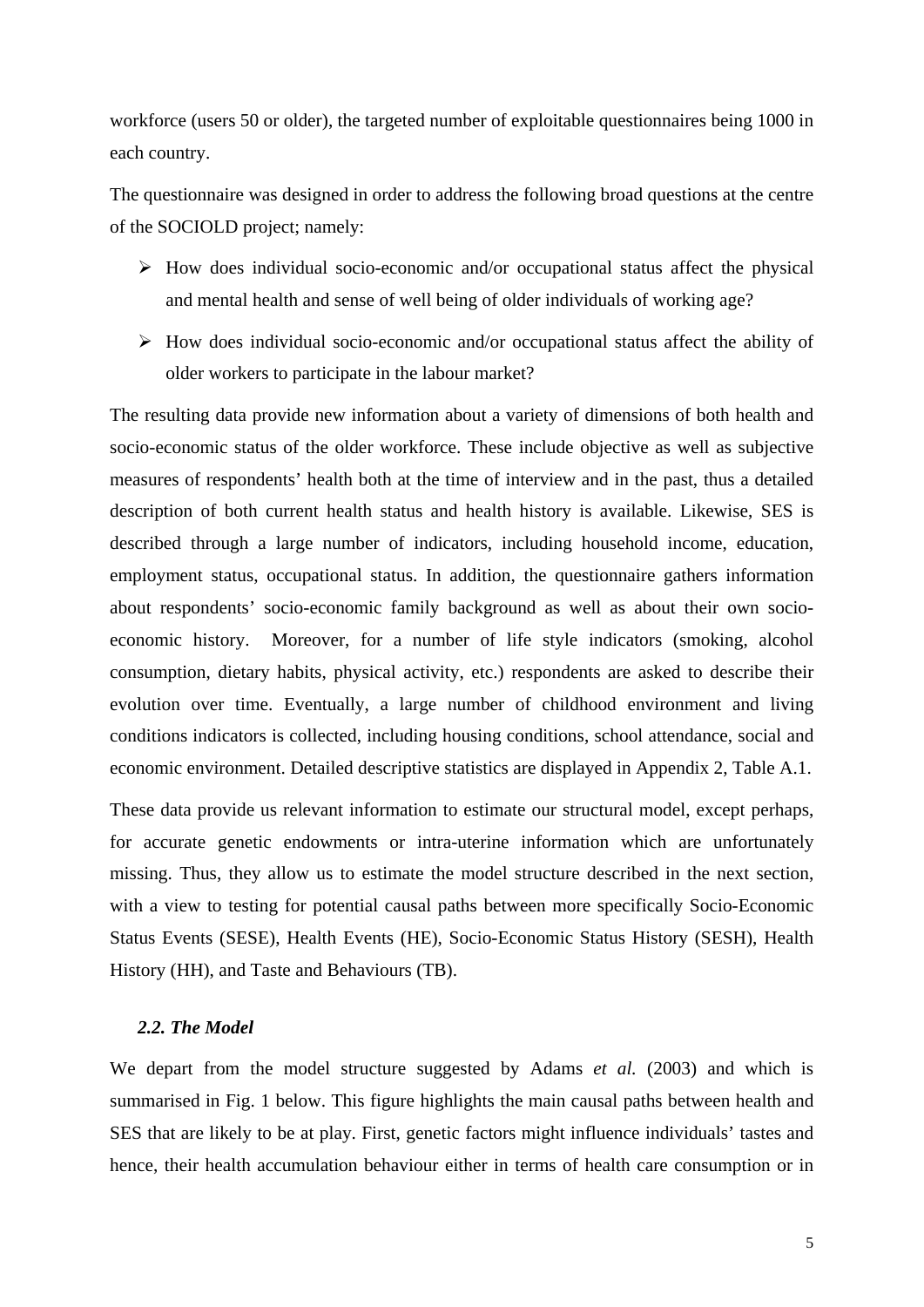workforce (users 50 or older), the targeted number of exploitable questionnaires being 1000 in each country.

The questionnaire was designed in order to address the following broad questions at the centre of the SOCIOLD project; namely:

- $\triangleright$  How does individual socio-economic and/or occupational status affect the physical and mental health and sense of well being of older individuals of working age?
- $\triangleright$  How does individual socio-economic and/or occupational status affect the ability of older workers to participate in the labour market?

The resulting data provide new information about a variety of dimensions of both health and socio-economic status of the older workforce. These include objective as well as subjective measures of respondents' health both at the time of interview and in the past, thus a detailed description of both current health status and health history is available. Likewise, SES is described through a large number of indicators, including household income, education, employment status, occupational status. In addition, the questionnaire gathers information about respondents' socio-economic family background as well as about their own socioeconomic history. Moreover, for a number of life style indicators (smoking, alcohol consumption, dietary habits, physical activity, etc.) respondents are asked to describe their evolution over time. Eventually, a large number of childhood environment and living conditions indicators is collected, including housing conditions, school attendance, social and economic environment. Detailed descriptive statistics are displayed in Appendix 2, Table A.1.

These data provide us relevant information to estimate our structural model, except perhaps, for accurate genetic endowments or intra-uterine information which are unfortunately missing. Thus, they allow us to estimate the model structure described in the next section, with a view to testing for potential causal paths between more specifically Socio-Economic Status Events (SESE), Health Events (HE), Socio-Economic Status History (SESH), Health History (HH), and Taste and Behaviours (TB).

## *2.2. The Model*

We depart from the model structure suggested by Adams *et al.* (2003) and which is summarised in Fig. 1 below. This figure highlights the main causal paths between health and SES that are likely to be at play. First, genetic factors might influence individuals' tastes and hence, their health accumulation behaviour either in terms of health care consumption or in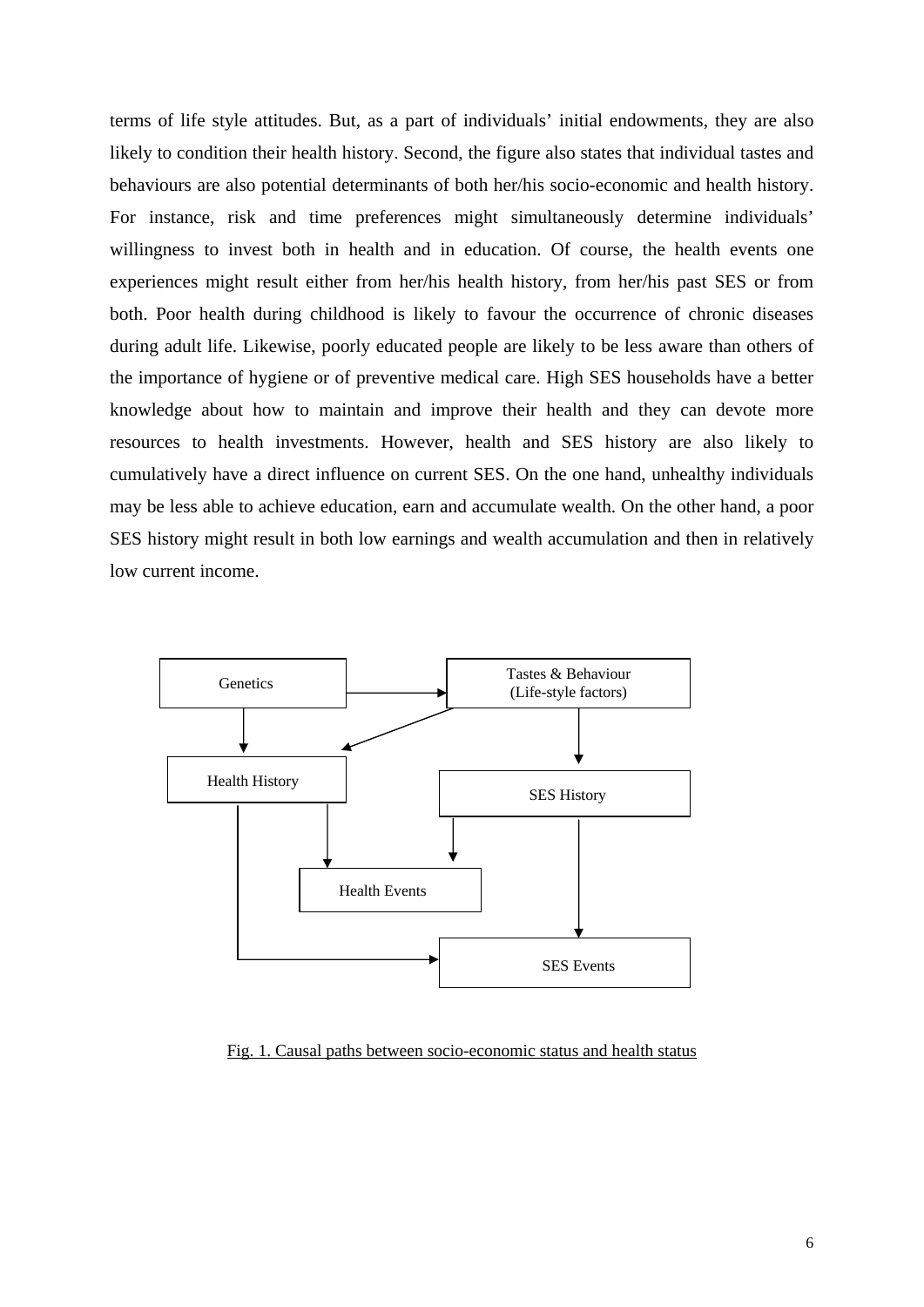terms of life style attitudes. But, as a part of individuals' initial endowments, they are also likely to condition their health history. Second, the figure also states that individual tastes and behaviours are also potential determinants of both her/his socio-economic and health history. For instance, risk and time preferences might simultaneously determine individuals' willingness to invest both in health and in education. Of course, the health events one experiences might result either from her/his health history, from her/his past SES or from both. Poor health during childhood is likely to favour the occurrence of chronic diseases during adult life. Likewise, poorly educated people are likely to be less aware than others of the importance of hygiene or of preventive medical care. High SES households have a better knowledge about how to maintain and improve their health and they can devote more resources to health investments. However, health and SES history are also likely to cumulatively have a direct influence on current SES. On the one hand, unhealthy individuals may be less able to achieve education, earn and accumulate wealth. On the other hand, a poor SES history might result in both low earnings and wealth accumulation and then in relatively low current income.



Fig. 1. Causal paths between socio-economic status and health status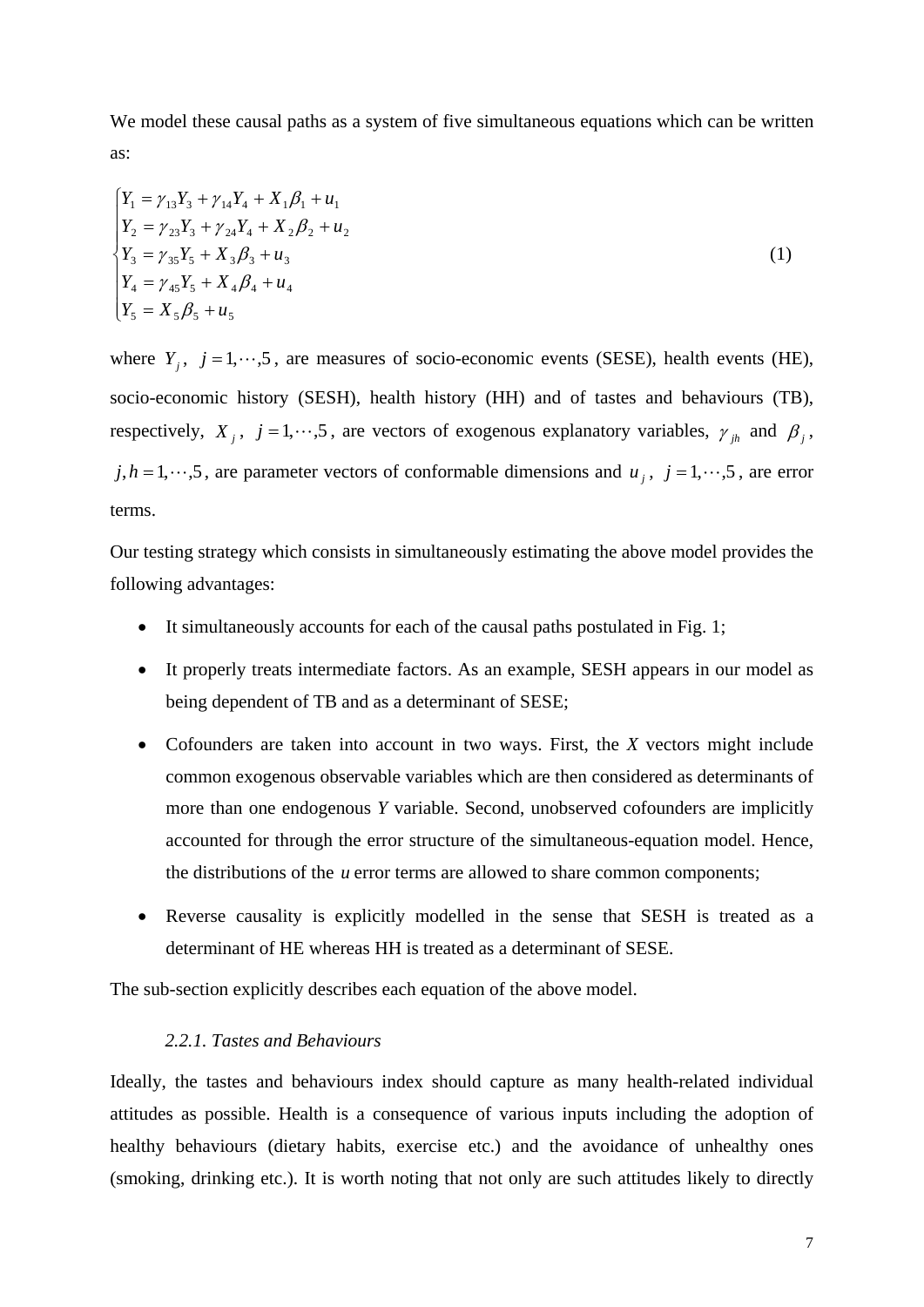We model these causal paths as a system of five simultaneous equations which can be written as:

$$
\begin{cases}\nY_1 = \gamma_{13}Y_3 + \gamma_{14}Y_4 + X_1\beta_1 + u_1 \\
Y_2 = \gamma_{23}Y_3 + \gamma_{24}Y_4 + X_2\beta_2 + u_2 \\
Y_3 = \gamma_{35}Y_5 + X_3\beta_3 + u_3 \\
Y_4 = \gamma_{45}Y_5 + X_4\beta_4 + u_4 \\
Y_5 = X_5\beta_5 + u_5\n\end{cases}
$$
\n(1)

where  $Y_j$ ,  $j = 1, \dots, 5$ , are measures of socio-economic events (SESE), health events (HE), socio-economic history (SESH), health history (HH) and of tastes and behaviours (TB), respectively, *X<sub>i</sub>*,  $j = 1, \dots, 5$ , are vectors of exogenous explanatory variables,  $\gamma_{ih}$  and  $\beta_i$ ,  $j, h = 1, \dots, 5$ , are parameter vectors of conformable dimensions and *u<sub>i</sub>*,  $j = 1, \dots, 5$ , are error terms.

Our testing strategy which consists in simultaneously estimating the above model provides the following advantages:

- It simultaneously accounts for each of the causal paths postulated in Fig. 1;
- It properly treats intermediate factors. As an example, SESH appears in our model as being dependent of TB and as a determinant of SESE;
- Cofounders are taken into account in two ways. First, the *X* vectors might include common exogenous observable variables which are then considered as determinants of more than one endogenous *Y* variable. Second, unobserved cofounders are implicitly accounted for through the error structure of the simultaneous-equation model. Hence, the distributions of the *u* error terms are allowed to share common components;
- Reverse causality is explicitly modelled in the sense that SESH is treated as a determinant of HE whereas HH is treated as a determinant of SESE.

The sub-section explicitly describes each equation of the above model.

## *2.2.1. Tastes and Behaviours*

Ideally, the tastes and behaviours index should capture as many health-related individual attitudes as possible. Health is a consequence of various inputs including the adoption of healthy behaviours (dietary habits, exercise etc.) and the avoidance of unhealthy ones (smoking, drinking etc.). It is worth noting that not only are such attitudes likely to directly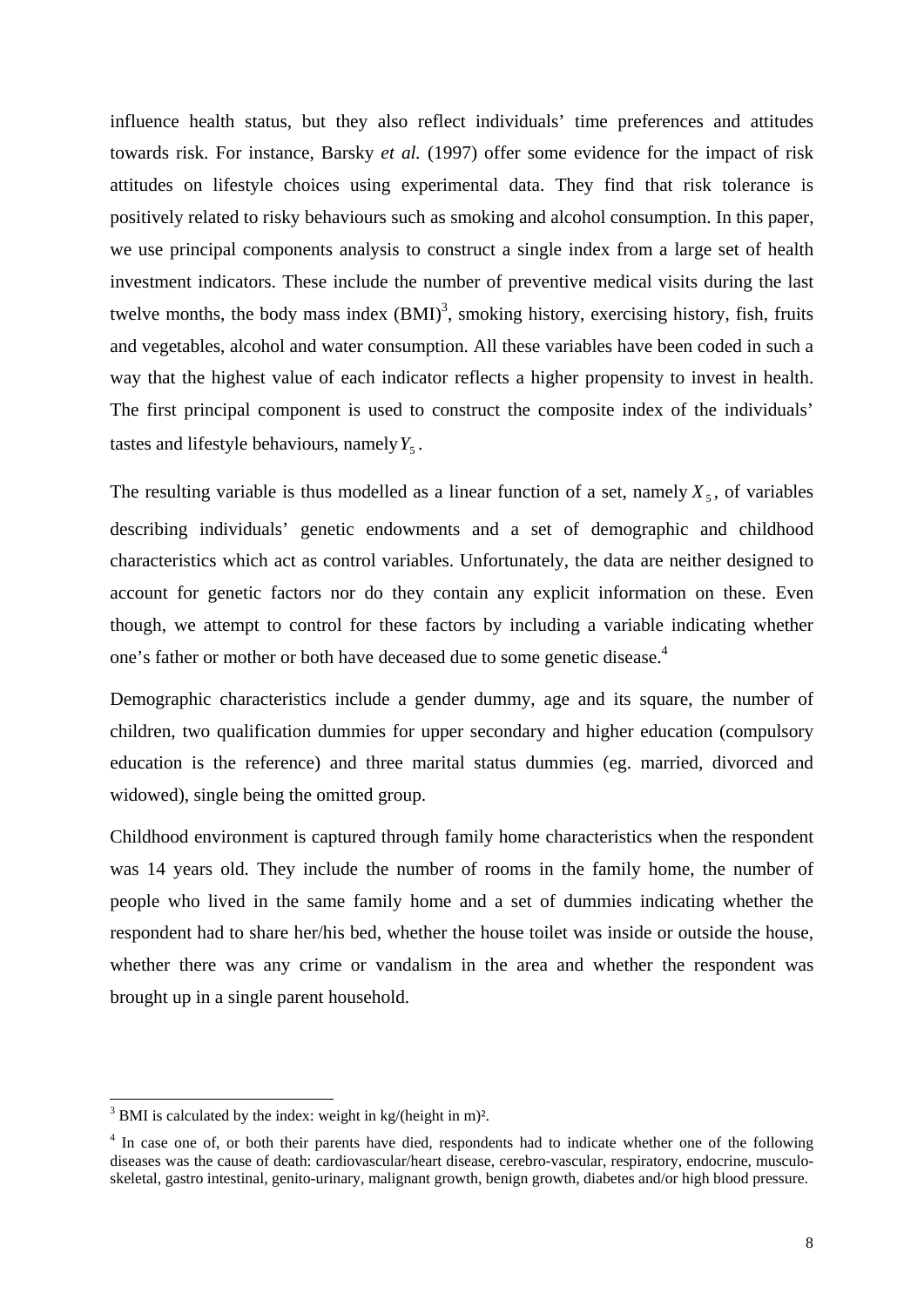influence health status, but they also reflect individuals' time preferences and attitudes towards risk. For instance, Barsky *et al.* (1997) offer some evidence for the impact of risk attitudes on lifestyle choices using experimental data. They find that risk tolerance is positively related to risky behaviours such as smoking and alcohol consumption. In this paper, we use principal components analysis to construct a single index from a large set of health investment indicators. These include the number of preventive medical visits during the last twelve months, the body mass index  $(BMI)^3$ , smoking history, exercising history, fish, fruits and vegetables, alcohol and water consumption. All these variables have been coded in such a way that the highest value of each indicator reflects a higher propensity to invest in health. The first principal component is used to construct the composite index of the individuals' tastes and lifestyle behaviours, namely  $Y_5$ .

The resulting variable is thus modelled as a linear function of a set, namely  $X_5$ , of variables describing individuals' genetic endowments and a set of demographic and childhood characteristics which act as control variables. Unfortunately, the data are neither designed to account for genetic factors nor do they contain any explicit information on these. Even though, we attempt to control for these factors by including a variable indicating whether one's father or mother or both have deceased due to some genetic disease.<sup>4</sup>

Demographic characteristics include a gender dummy, age and its square, the number of children, two qualification dummies for upper secondary and higher education (compulsory education is the reference) and three marital status dummies (eg. married, divorced and widowed), single being the omitted group.

Childhood environment is captured through family home characteristics when the respondent was 14 years old. They include the number of rooms in the family home, the number of people who lived in the same family home and a set of dummies indicating whether the respondent had to share her/his bed, whether the house toilet was inside or outside the house, whether there was any crime or vandalism in the area and whether the respondent was brought up in a single parent household.

 $\frac{3}{3}$  BMI is calculated by the index: weight in kg/(height in m)<sup>2</sup>.

<sup>&</sup>lt;sup>4</sup> In case one of, or both their parents have died, respondents had to indicate whether one of the following diseases was the cause of death: cardiovascular/heart disease, cerebro-vascular, respiratory, endocrine, musculoskeletal, gastro intestinal, genito-urinary, malignant growth, benign growth, diabetes and/or high blood pressure.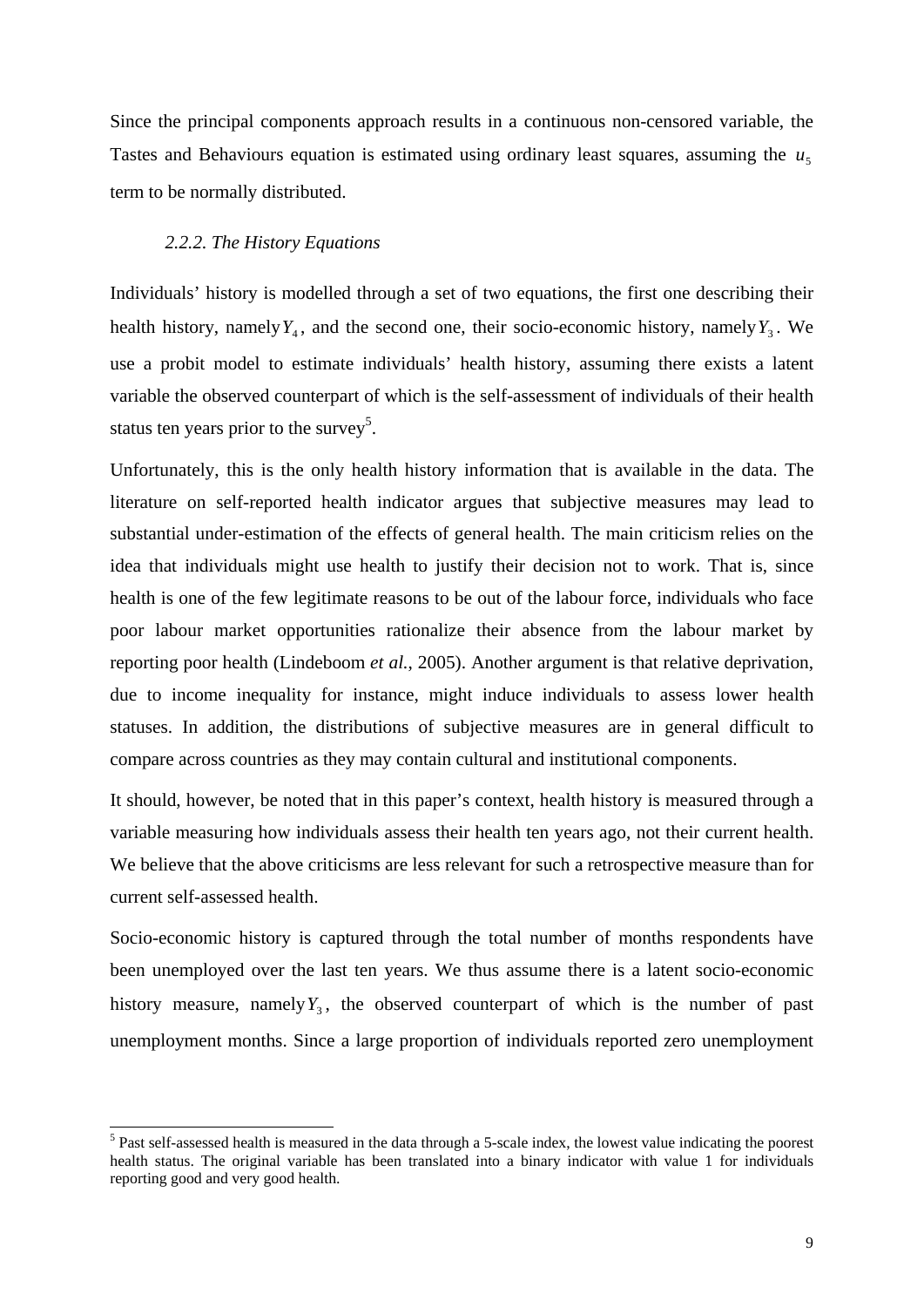Since the principal components approach results in a continuous non-censored variable, the Tastes and Behaviours equation is estimated using ordinary least squares, assuming the  $u<sub>5</sub>$ term to be normally distributed.

#### *2.2.2. The History Equations*

-

Individuals' history is modelled through a set of two equations, the first one describing their health history, namely  $Y_4$ , and the second one, their socio-economic history, namely  $Y_3$ . We use a probit model to estimate individuals' health history, assuming there exists a latent variable the observed counterpart of which is the self-assessment of individuals of their health status ten years prior to the survey<sup>5</sup>.

Unfortunately, this is the only health history information that is available in the data. The literature on self-reported health indicator argues that subjective measures may lead to substantial under-estimation of the effects of general health. The main criticism relies on the idea that individuals might use health to justify their decision not to work. That is, since health is one of the few legitimate reasons to be out of the labour force, individuals who face poor labour market opportunities rationalize their absence from the labour market by reporting poor health (Lindeboom *et al.*, 2005). Another argument is that relative deprivation, due to income inequality for instance, might induce individuals to assess lower health statuses. In addition, the distributions of subjective measures are in general difficult to compare across countries as they may contain cultural and institutional components.

It should, however, be noted that in this paper's context, health history is measured through a variable measuring how individuals assess their health ten years ago, not their current health. We believe that the above criticisms are less relevant for such a retrospective measure than for current self-assessed health.

Socio-economic history is captured through the total number of months respondents have been unemployed over the last ten years. We thus assume there is a latent socio-economic history measure, namely  $Y_3$ , the observed counterpart of which is the number of past unemployment months. Since a large proportion of individuals reported zero unemployment

<sup>&</sup>lt;sup>5</sup> Past self-assessed health is measured in the data through a 5-scale index, the lowest value indicating the poorest health status. The original variable has been translated into a binary indicator with value 1 for individuals reporting good and very good health.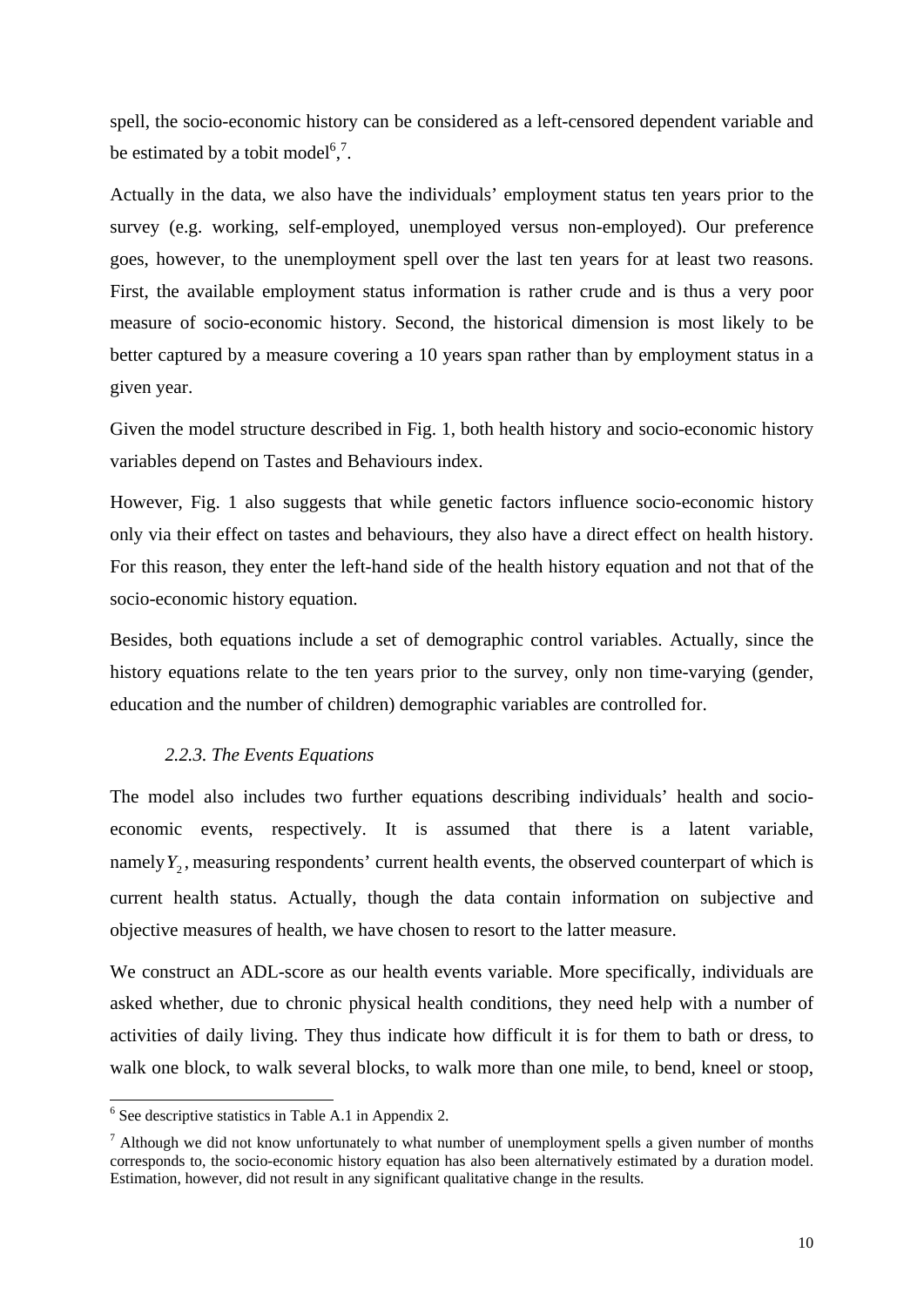spell, the socio-economic history can be considered as a left-censored dependent variable and be estimated by a tobit model<sup>6,7</sup>.

Actually in the data, we also have the individuals' employment status ten years prior to the survey (e.g. working, self-employed, unemployed versus non-employed). Our preference goes, however, to the unemployment spell over the last ten years for at least two reasons. First, the available employment status information is rather crude and is thus a very poor measure of socio-economic history. Second, the historical dimension is most likely to be better captured by a measure covering a 10 years span rather than by employment status in a given year.

Given the model structure described in Fig. 1, both health history and socio-economic history variables depend on Tastes and Behaviours index.

However, Fig. 1 also suggests that while genetic factors influence socio-economic history only via their effect on tastes and behaviours, they also have a direct effect on health history. For this reason, they enter the left-hand side of the health history equation and not that of the socio-economic history equation.

Besides, both equations include a set of demographic control variables. Actually, since the history equations relate to the ten years prior to the survey, only non time-varying (gender, education and the number of children) demographic variables are controlled for.

## *2.2.3. The Events Equations*

The model also includes two further equations describing individuals' health and socioeconomic events, respectively. It is assumed that there is a latent variable, namely  $Y_2$ , measuring respondents' current health events, the observed counterpart of which is current health status. Actually, though the data contain information on subjective and objective measures of health, we have chosen to resort to the latter measure.

We construct an ADL-score as our health events variable. More specifically, individuals are asked whether, due to chronic physical health conditions, they need help with a number of activities of daily living. They thus indicate how difficult it is for them to bath or dress, to walk one block, to walk several blocks, to walk more than one mile, to bend, kneel or stoop,

<sup>&</sup>lt;sup>6</sup> See descriptive statistics in Table A.1 in Appendix 2.

 $<sup>7</sup>$  Although we did not know unfortunately to what number of unemployment spells a given number of months</sup> corresponds to, the socio-economic history equation has also been alternatively estimated by a duration model. Estimation, however, did not result in any significant qualitative change in the results.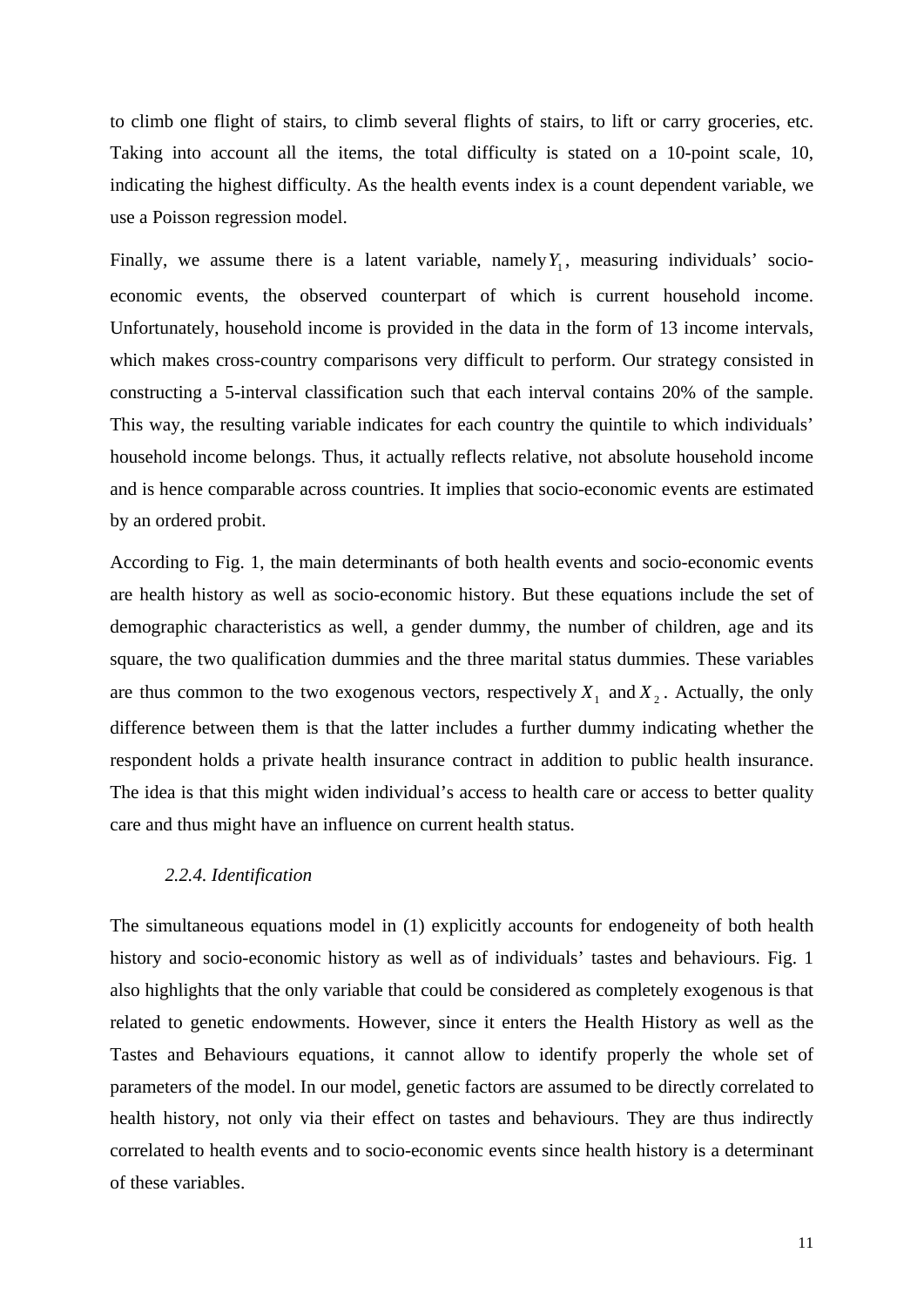to climb one flight of stairs, to climb several flights of stairs, to lift or carry groceries, etc. Taking into account all the items, the total difficulty is stated on a 10-point scale, 10, indicating the highest difficulty. As the health events index is a count dependent variable, we use a Poisson regression model.

Finally, we assume there is a latent variable, namely  $Y_1$ , measuring individuals' socioeconomic events, the observed counterpart of which is current household income. Unfortunately, household income is provided in the data in the form of 13 income intervals, which makes cross-country comparisons very difficult to perform. Our strategy consisted in constructing a 5-interval classification such that each interval contains 20% of the sample. This way, the resulting variable indicates for each country the quintile to which individuals' household income belongs. Thus, it actually reflects relative, not absolute household income and is hence comparable across countries. It implies that socio-economic events are estimated by an ordered probit.

According to Fig. 1, the main determinants of both health events and socio-economic events are health history as well as socio-economic history. But these equations include the set of demographic characteristics as well, a gender dummy, the number of children, age and its square, the two qualification dummies and the three marital status dummies. These variables are thus common to the two exogenous vectors, respectively  $X_1$  and  $X_2$ . Actually, the only difference between them is that the latter includes a further dummy indicating whether the respondent holds a private health insurance contract in addition to public health insurance. The idea is that this might widen individual's access to health care or access to better quality care and thus might have an influence on current health status.

## *2.2.4. Identification*

The simultaneous equations model in (1) explicitly accounts for endogeneity of both health history and socio-economic history as well as of individuals' tastes and behaviours. Fig. 1 also highlights that the only variable that could be considered as completely exogenous is that related to genetic endowments. However, since it enters the Health History as well as the Tastes and Behaviours equations, it cannot allow to identify properly the whole set of parameters of the model. In our model, genetic factors are assumed to be directly correlated to health history, not only via their effect on tastes and behaviours. They are thus indirectly correlated to health events and to socio-economic events since health history is a determinant of these variables.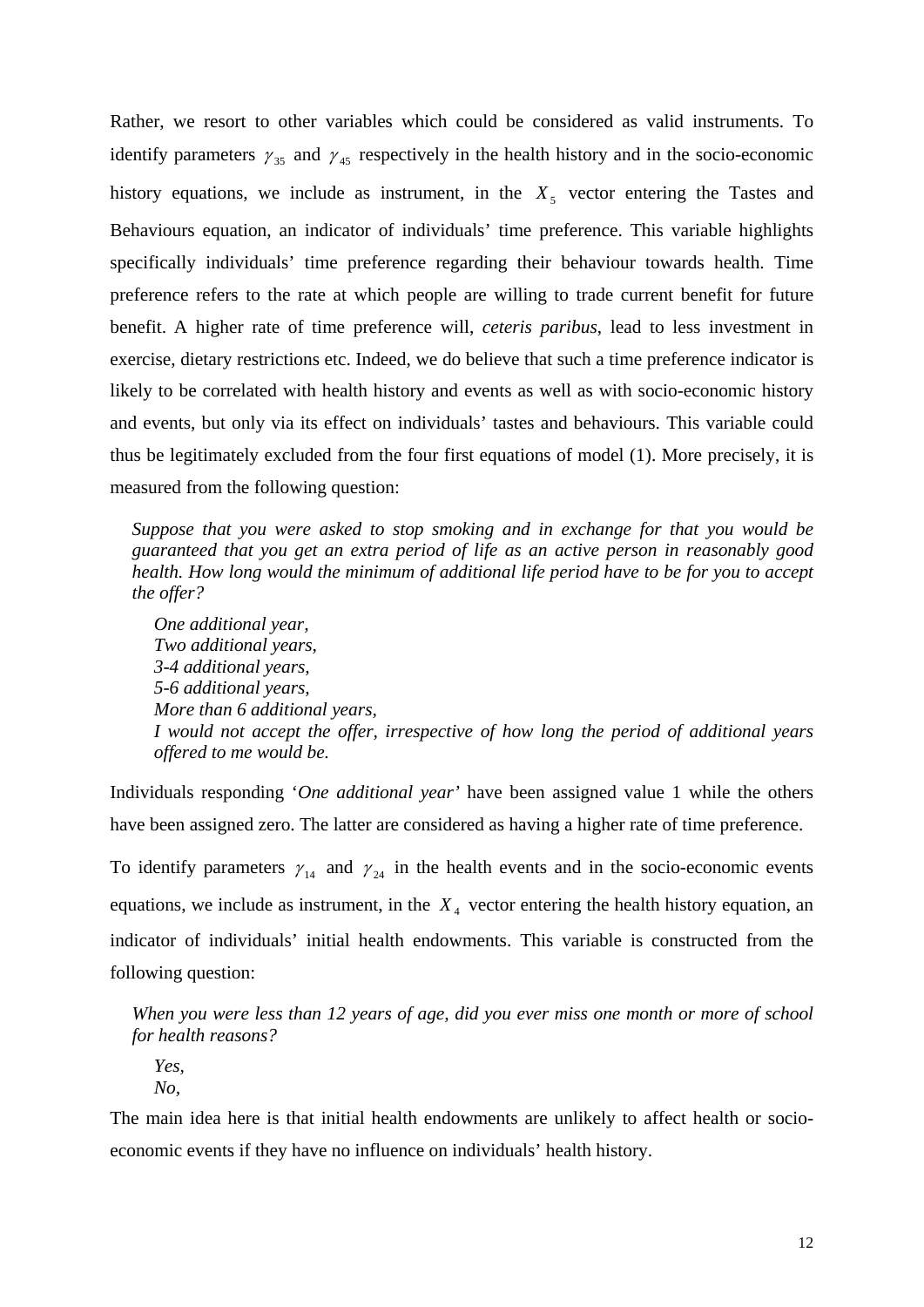Rather, we resort to other variables which could be considered as valid instruments. To identify parameters  $\gamma_{35}$  and  $\gamma_{45}$  respectively in the health history and in the socio-economic history equations, we include as instrument, in the  $X<sub>5</sub>$  vector entering the Tastes and Behaviours equation, an indicator of individuals' time preference. This variable highlights specifically individuals' time preference regarding their behaviour towards health. Time preference refers to the rate at which people are willing to trade current benefit for future benefit. A higher rate of time preference will, *ceteris paribus*, lead to less investment in exercise, dietary restrictions etc. Indeed, we do believe that such a time preference indicator is likely to be correlated with health history and events as well as with socio-economic history and events, but only via its effect on individuals' tastes and behaviours. This variable could thus be legitimately excluded from the four first equations of model (1). More precisely, it is measured from the following question:

*Suppose that you were asked to stop smoking and in exchange for that you would be guaranteed that you get an extra period of life as an active person in reasonably good health. How long would the minimum of additional life period have to be for you to accept the offer?* 

*One additional year, Two additional years, 3-4 additional years, 5-6 additional years, More than 6 additional years, I would not accept the offer, irrespective of how long the period of additional years offered to me would be.* 

Individuals responding '*One additional year'* have been assigned value 1 while the others have been assigned zero. The latter are considered as having a higher rate of time preference.

To identify parameters  $\gamma_{14}$  and  $\gamma_{24}$  in the health events and in the socio-economic events equations, we include as instrument, in the  $X<sub>4</sub>$  vector entering the health history equation, an indicator of individuals' initial health endowments. This variable is constructed from the following question:

*When you were less than 12 years of age, did you ever miss one month or more of school for health reasons?* 

*Yes, No,* 

The main idea here is that initial health endowments are unlikely to affect health or socioeconomic events if they have no influence on individuals' health history.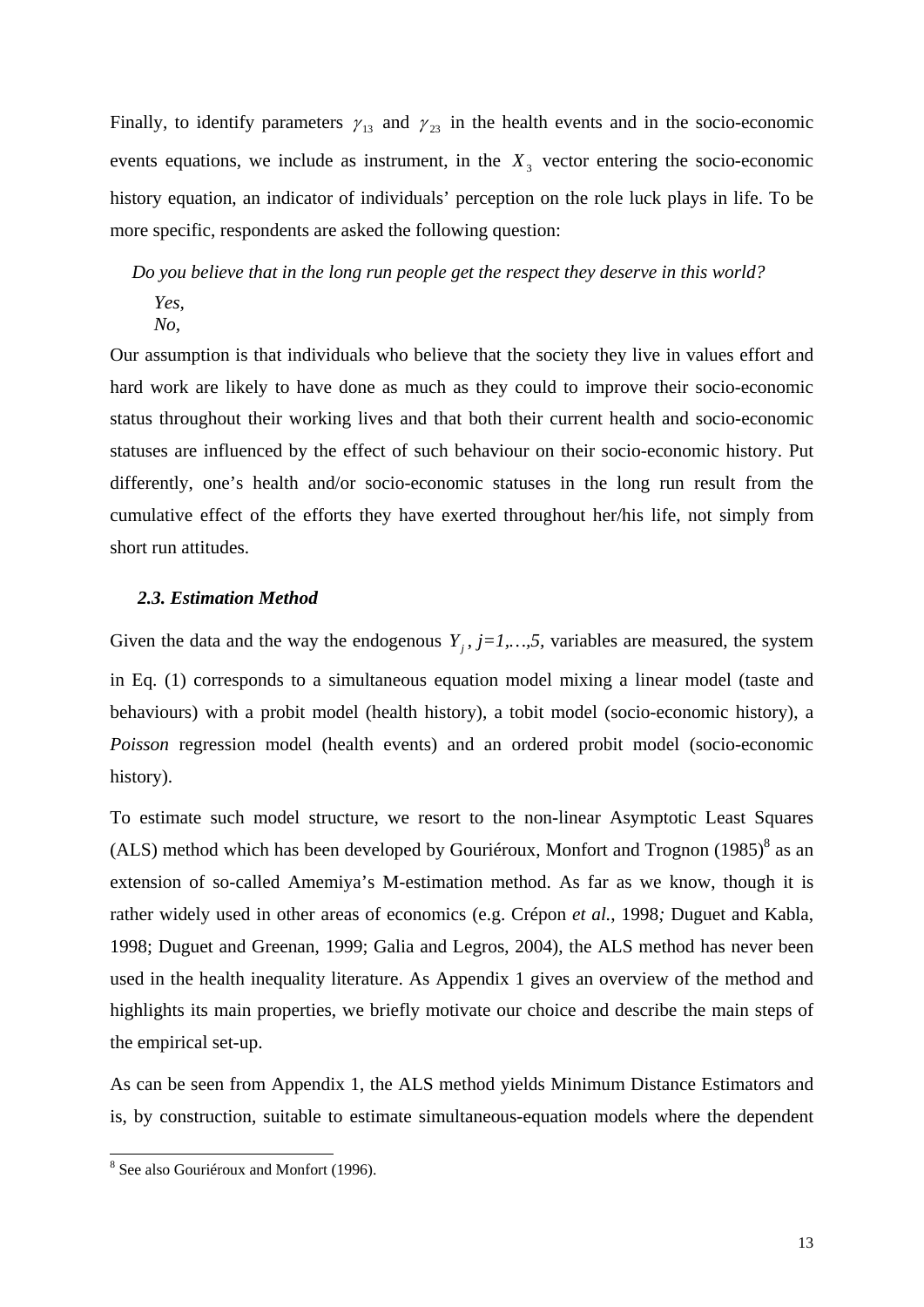Finally, to identify parameters  $\gamma_{13}$  and  $\gamma_{23}$  in the health events and in the socio-economic events equations, we include as instrument, in the  $X<sub>3</sub>$  vector entering the socio-economic history equation, an indicator of individuals' perception on the role luck plays in life. To be more specific, respondents are asked the following question:

*Do you believe that in the long run people get the respect they deserve in this world?* 

*Yes,* 

*No,* 

Our assumption is that individuals who believe that the society they live in values effort and hard work are likely to have done as much as they could to improve their socio-economic status throughout their working lives and that both their current health and socio-economic statuses are influenced by the effect of such behaviour on their socio-economic history. Put differently, one's health and/or socio-economic statuses in the long run result from the cumulative effect of the efforts they have exerted throughout her/his life, not simply from short run attitudes.

## *2.3. Estimation Method*

Given the data and the way the endogenous  $Y_i$ ,  $j=1,\ldots,5$ , variables are measured, the system in Eq. (1) corresponds to a simultaneous equation model mixing a linear model (taste and behaviours) with a probit model (health history), a tobit model (socio-economic history), a *Poisson* regression model (health events) and an ordered probit model (socio-economic history).

To estimate such model structure, we resort to the non-linear Asymptotic Least Squares (ALS) method which has been developed by Gouriéroux, Monfort and Trognon  $(1985)^8$  as an extension of so-called Amemiya's M-estimation method. As far as we know, though it is rather widely used in other areas of economics (e.g. Crépon *et al.*, 1998*;* Duguet and Kabla, 1998; Duguet and Greenan, 1999; Galia and Legros, 2004), the ALS method has never been used in the health inequality literature. As Appendix 1 gives an overview of the method and highlights its main properties, we briefly motivate our choice and describe the main steps of the empirical set-up.

As can be seen from Appendix 1, the ALS method yields Minimum Distance Estimators and is, by construction, suitable to estimate simultaneous-equation models where the dependent

<sup>&</sup>lt;sup>8</sup> See also Gouriéroux and Monfort (1996).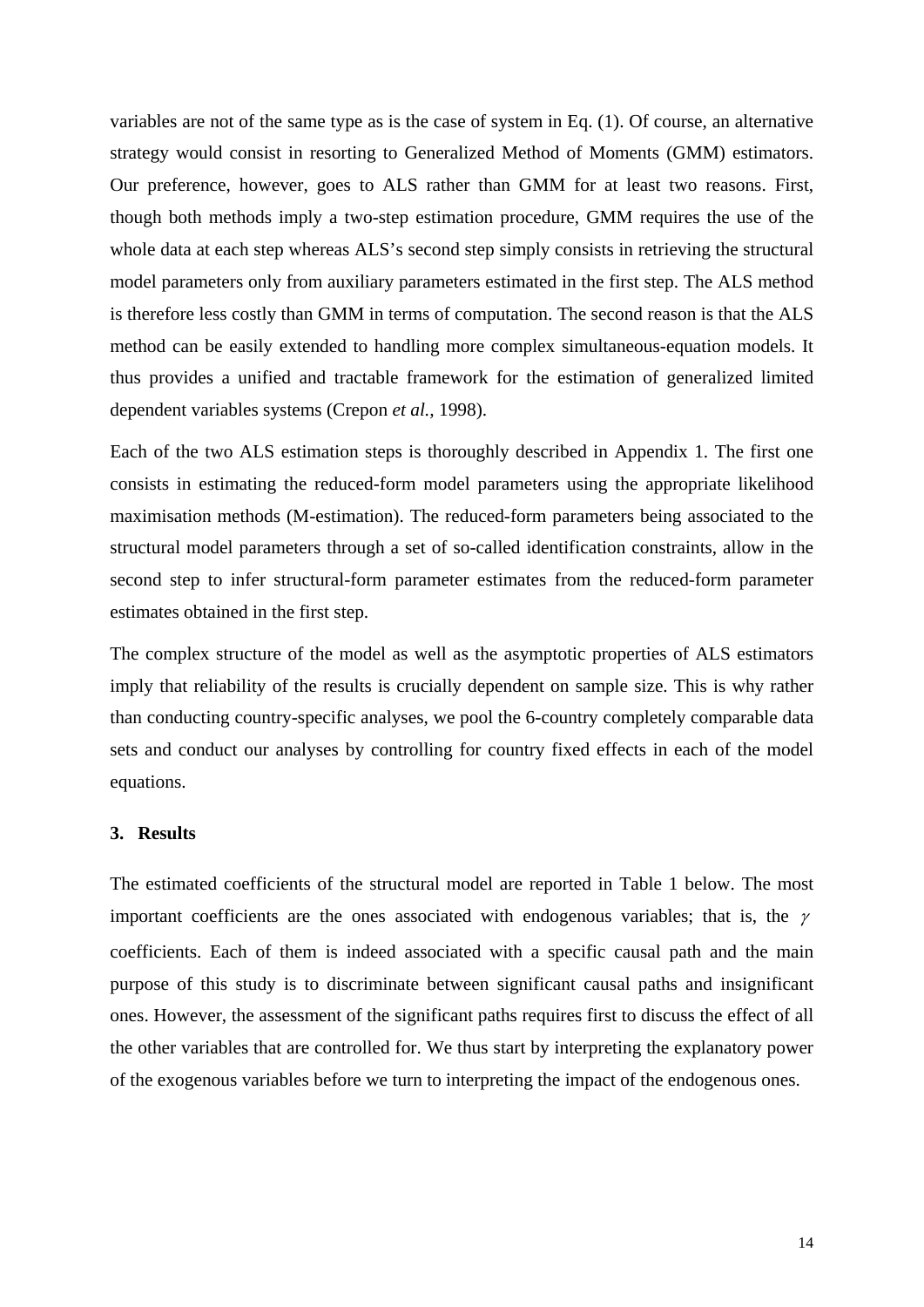variables are not of the same type as is the case of system in Eq. (1). Of course, an alternative strategy would consist in resorting to Generalized Method of Moments (GMM) estimators. Our preference, however, goes to ALS rather than GMM for at least two reasons. First, though both methods imply a two-step estimation procedure, GMM requires the use of the whole data at each step whereas ALS's second step simply consists in retrieving the structural model parameters only from auxiliary parameters estimated in the first step. The ALS method is therefore less costly than GMM in terms of computation. The second reason is that the ALS method can be easily extended to handling more complex simultaneous-equation models. It thus provides a unified and tractable framework for the estimation of generalized limited dependent variables systems (Crepon *et al.,* 1998).

Each of the two ALS estimation steps is thoroughly described in Appendix 1. The first one consists in estimating the reduced-form model parameters using the appropriate likelihood maximisation methods (M-estimation). The reduced-form parameters being associated to the structural model parameters through a set of so-called identification constraints, allow in the second step to infer structural-form parameter estimates from the reduced-form parameter estimates obtained in the first step.

The complex structure of the model as well as the asymptotic properties of ALS estimators imply that reliability of the results is crucially dependent on sample size. This is why rather than conducting country-specific analyses, we pool the 6-country completely comparable data sets and conduct our analyses by controlling for country fixed effects in each of the model equations.

#### **3. Results**

The estimated coefficients of the structural model are reported in Table 1 below. The most important coefficients are the ones associated with endogenous variables; that is, the  $\gamma$ coefficients. Each of them is indeed associated with a specific causal path and the main purpose of this study is to discriminate between significant causal paths and insignificant ones. However, the assessment of the significant paths requires first to discuss the effect of all the other variables that are controlled for. We thus start by interpreting the explanatory power of the exogenous variables before we turn to interpreting the impact of the endogenous ones.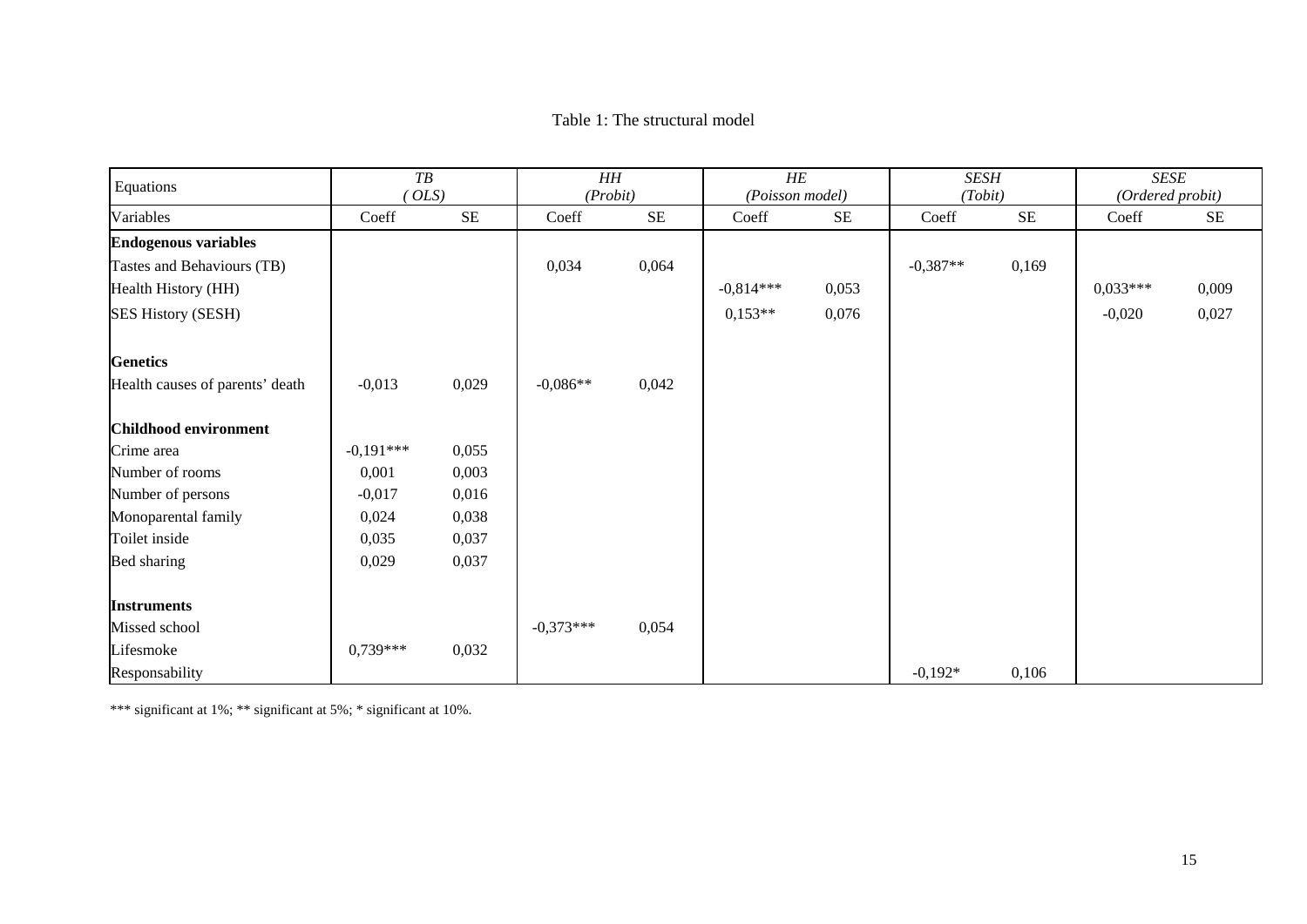#### Table 1: The structural model

| Equations                       | T B<br>OLS  |          | $H\!H$<br>(Probit) |          | HE<br>(Poisson model) |          | <b>SESH</b><br>(Tobit) |          | SESE<br>(Ordered probit) |          |
|---------------------------------|-------------|----------|--------------------|----------|-----------------------|----------|------------------------|----------|--------------------------|----------|
| Variables                       | Coeff       | $\rm SE$ | Coeff              | $\rm SE$ | Coeff                 | $\rm SE$ | Coeff                  | $\rm SE$ | Coeff                    | $\rm SE$ |
| <b>Endogenous variables</b>     |             |          |                    |          |                       |          |                        |          |                          |          |
| Tastes and Behaviours (TB)      |             |          | 0,034              | 0,064    |                       |          | $-0,387**$             | 0,169    |                          |          |
| Health History (HH)             |             |          |                    |          | $-0.814***$           | 0,053    |                        |          | $0,033***$               | 0,009    |
| <b>SES History (SESH)</b>       |             |          |                    |          | $0,153**$             | 0,076    |                        |          | $-0,020$                 | 0,027    |
| <b>Genetics</b>                 |             |          |                    |          |                       |          |                        |          |                          |          |
| Health causes of parents' death | $-0,013$    | 0,029    | $-0,086**$         | 0,042    |                       |          |                        |          |                          |          |
| Childhood environment           |             |          |                    |          |                       |          |                        |          |                          |          |
| Crime area                      | $-0,191***$ | 0,055    |                    |          |                       |          |                        |          |                          |          |
| Number of rooms                 | 0,001       | 0,003    |                    |          |                       |          |                        |          |                          |          |
| Number of persons               | $-0,017$    | 0,016    |                    |          |                       |          |                        |          |                          |          |
| Monoparental family             | 0,024       | 0,038    |                    |          |                       |          |                        |          |                          |          |
| Toilet inside                   | 0,035       | 0,037    |                    |          |                       |          |                        |          |                          |          |
| Bed sharing                     | 0,029       | 0,037    |                    |          |                       |          |                        |          |                          |          |
| <b>Instruments</b>              |             |          |                    |          |                       |          |                        |          |                          |          |
| Missed school                   |             |          | $-0,373***$        | 0,054    |                       |          |                        |          |                          |          |
| Lifesmoke                       | $0.739***$  | 0,032    |                    |          |                       |          |                        |          |                          |          |
| Responsability                  |             |          |                    |          |                       |          | $-0,192*$              | 0,106    |                          |          |

\*\*\* significant at 1%; \*\* significant at 5%; \* significant at 10%.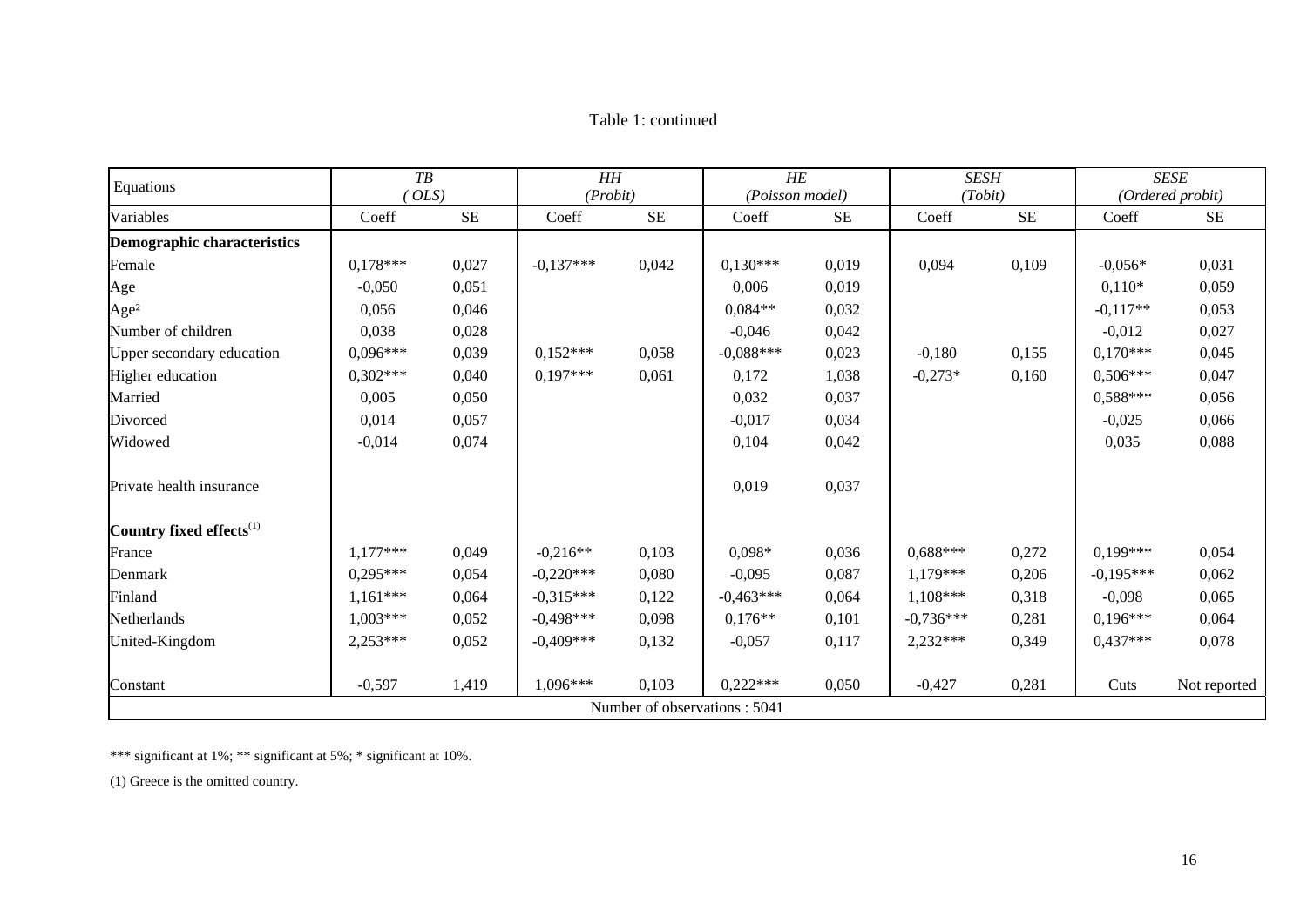| Equations                            | T B<br>OLS                   |          | HH<br>(Probit) |          | HE<br>(Poisson model) |       | <b>SESH</b><br>(Tobit) |          |             | <b>SESE</b><br>(Ordered probit) |
|--------------------------------------|------------------------------|----------|----------------|----------|-----------------------|-------|------------------------|----------|-------------|---------------------------------|
| Variables                            | Coeff                        | $\rm SE$ | Coeff          | $\rm SE$ | Coeff                 | $SE$  | Coeff                  | $\rm SE$ | Coeff       | <b>SE</b>                       |
| Demographic characteristics          |                              |          |                |          |                       |       |                        |          |             |                                 |
| Female                               | $0.178***$                   | 0,027    | $-0.137***$    | 0,042    | $0.130***$            | 0,019 | 0,094                  | 0,109    | $-0.056*$   | 0,031                           |
| Age                                  | $-0,050$                     | 0,051    |                |          | 0,006                 | 0,019 |                        |          | $0,110*$    | 0,059                           |
| Age <sup>2</sup>                     | 0,056                        | 0,046    |                |          | $0.084**$             | 0,032 |                        |          | $-0,117**$  | 0,053                           |
| Number of children                   | 0,038                        | 0,028    |                |          | $-0,046$              | 0,042 |                        |          | $-0,012$    | 0,027                           |
| Upper secondary education            | $0.096***$                   | 0,039    | $0.152***$     | 0,058    | $-0.088***$           | 0,023 | $-0,180$               | 0,155    | $0.170***$  | 0,045                           |
| Higher education                     | $0,302***$                   | 0,040    | $0,197***$     | 0,061    | 0,172                 | 1,038 | $-0,273*$              | 0,160    | $0,506***$  | 0,047                           |
| Married                              | 0,005                        | 0,050    |                |          | 0,032                 | 0,037 |                        |          | $0.588***$  | 0,056                           |
| Divorced                             | 0,014                        | 0,057    |                |          | $-0,017$              | 0,034 |                        |          | $-0,025$    | 0,066                           |
| Widowed                              | $-0,014$                     | 0,074    |                |          | 0,104                 | 0,042 |                        |          | 0,035       | 0,088                           |
| Private health insurance             |                              |          |                |          | 0,019                 | 0,037 |                        |          |             |                                 |
| Country fixed effects <sup>(1)</sup> |                              |          |                |          |                       |       |                        |          |             |                                 |
| France                               | $1,177***$                   | 0,049    | $-0.216**$     | 0,103    | $0,098*$              | 0,036 | $0.688***$             | 0,272    | $0.199***$  | 0,054                           |
| Denmark                              | $0.295***$                   | 0,054    | $-0.220***$    | 0,080    | $-0,095$              | 0,087 | 1,179***               | 0,206    | $-0.195***$ | 0,062                           |
| Finland                              | $1,161***$                   | 0,064    | $-0.315***$    | 0,122    | $-0.463***$           | 0,064 | $1,108***$             | 0,318    | $-0,098$    | 0,065                           |
| Netherlands                          | $1,003***$                   | 0,052    | $-0,498***$    | 0,098    | $0,176**$             | 0,101 | $-0,736***$            | 0,281    | $0,196***$  | 0,064                           |
| United-Kingdom                       | $2,253***$                   | 0,052    | $-0.409***$    | 0,132    | $-0,057$              | 0,117 | $2,232***$             | 0,349    | $0,437***$  | 0,078                           |
| Constant                             | $-0,597$                     | 1,419    | $1,096***$     | 0,103    | $0.222***$            | 0,050 | $-0,427$               | 0,281    | Cuts        | Not reported                    |
|                                      | Number of observations: 5041 |          |                |          |                       |       |                        |          |             |                                 |

\*\*\* significant at 1%; \*\* significant at 5%; \* significant at 10%.

(1) Greece is the omitted country.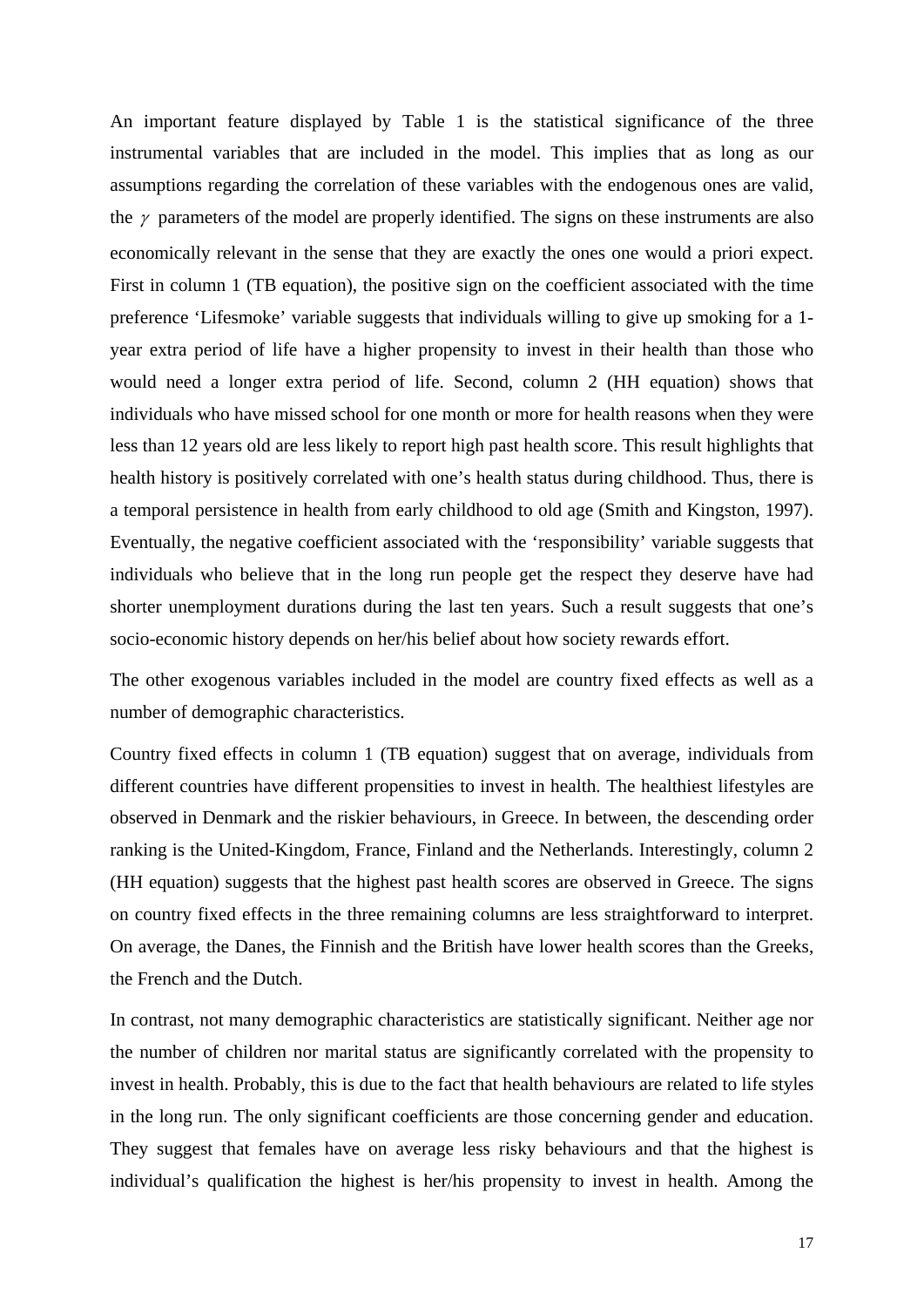An important feature displayed by Table 1 is the statistical significance of the three instrumental variables that are included in the model. This implies that as long as our assumptions regarding the correlation of these variables with the endogenous ones are valid, the  $\gamma$  parameters of the model are properly identified. The signs on these instruments are also economically relevant in the sense that they are exactly the ones one would a priori expect. First in column 1 (TB equation), the positive sign on the coefficient associated with the time preference 'Lifesmoke' variable suggests that individuals willing to give up smoking for a 1 year extra period of life have a higher propensity to invest in their health than those who would need a longer extra period of life. Second, column 2 (HH equation) shows that individuals who have missed school for one month or more for health reasons when they were less than 12 years old are less likely to report high past health score. This result highlights that health history is positively correlated with one's health status during childhood. Thus, there is a temporal persistence in health from early childhood to old age (Smith and Kingston, 1997). Eventually, the negative coefficient associated with the 'responsibility' variable suggests that individuals who believe that in the long run people get the respect they deserve have had shorter unemployment durations during the last ten years. Such a result suggests that one's socio-economic history depends on her/his belief about how society rewards effort.

The other exogenous variables included in the model are country fixed effects as well as a number of demographic characteristics.

Country fixed effects in column 1 (TB equation) suggest that on average, individuals from different countries have different propensities to invest in health. The healthiest lifestyles are observed in Denmark and the riskier behaviours, in Greece. In between, the descending order ranking is the United-Kingdom, France, Finland and the Netherlands. Interestingly, column 2 (HH equation) suggests that the highest past health scores are observed in Greece. The signs on country fixed effects in the three remaining columns are less straightforward to interpret. On average, the Danes, the Finnish and the British have lower health scores than the Greeks, the French and the Dutch.

In contrast, not many demographic characteristics are statistically significant. Neither age nor the number of children nor marital status are significantly correlated with the propensity to invest in health. Probably, this is due to the fact that health behaviours are related to life styles in the long run. The only significant coefficients are those concerning gender and education. They suggest that females have on average less risky behaviours and that the highest is individual's qualification the highest is her/his propensity to invest in health. Among the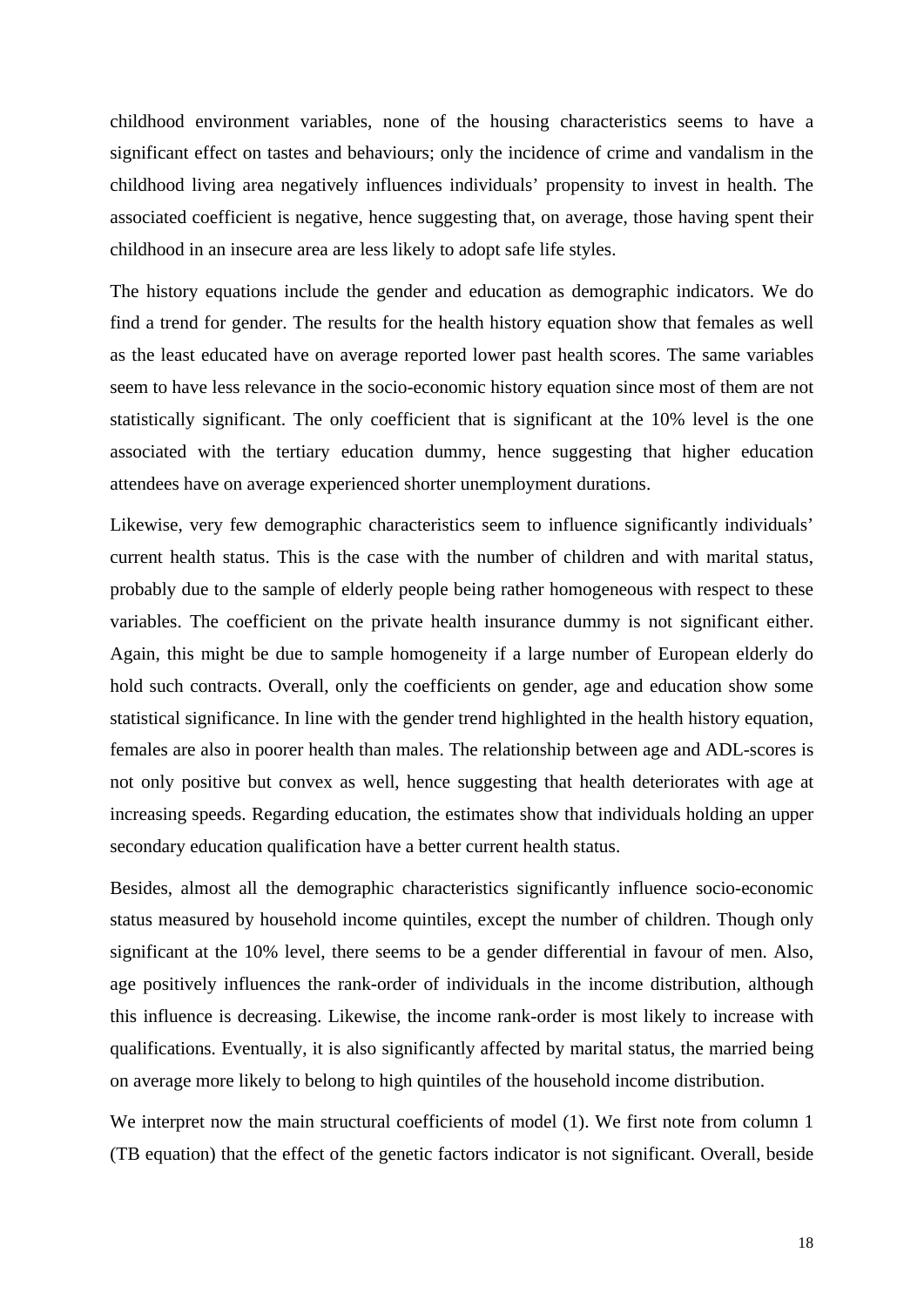childhood environment variables, none of the housing characteristics seems to have a significant effect on tastes and behaviours; only the incidence of crime and vandalism in the childhood living area negatively influences individuals' propensity to invest in health. The associated coefficient is negative, hence suggesting that, on average, those having spent their childhood in an insecure area are less likely to adopt safe life styles.

The history equations include the gender and education as demographic indicators. We do find a trend for gender. The results for the health history equation show that females as well as the least educated have on average reported lower past health scores. The same variables seem to have less relevance in the socio-economic history equation since most of them are not statistically significant. The only coefficient that is significant at the 10% level is the one associated with the tertiary education dummy, hence suggesting that higher education attendees have on average experienced shorter unemployment durations.

Likewise, very few demographic characteristics seem to influence significantly individuals' current health status. This is the case with the number of children and with marital status, probably due to the sample of elderly people being rather homogeneous with respect to these variables. The coefficient on the private health insurance dummy is not significant either. Again, this might be due to sample homogeneity if a large number of European elderly do hold such contracts. Overall, only the coefficients on gender, age and education show some statistical significance. In line with the gender trend highlighted in the health history equation, females are also in poorer health than males. The relationship between age and ADL-scores is not only positive but convex as well, hence suggesting that health deteriorates with age at increasing speeds. Regarding education, the estimates show that individuals holding an upper secondary education qualification have a better current health status.

Besides, almost all the demographic characteristics significantly influence socio-economic status measured by household income quintiles, except the number of children. Though only significant at the 10% level, there seems to be a gender differential in favour of men. Also, age positively influences the rank-order of individuals in the income distribution, although this influence is decreasing. Likewise, the income rank-order is most likely to increase with qualifications. Eventually, it is also significantly affected by marital status, the married being on average more likely to belong to high quintiles of the household income distribution.

We interpret now the main structural coefficients of model (1). We first note from column 1 (TB equation) that the effect of the genetic factors indicator is not significant. Overall, beside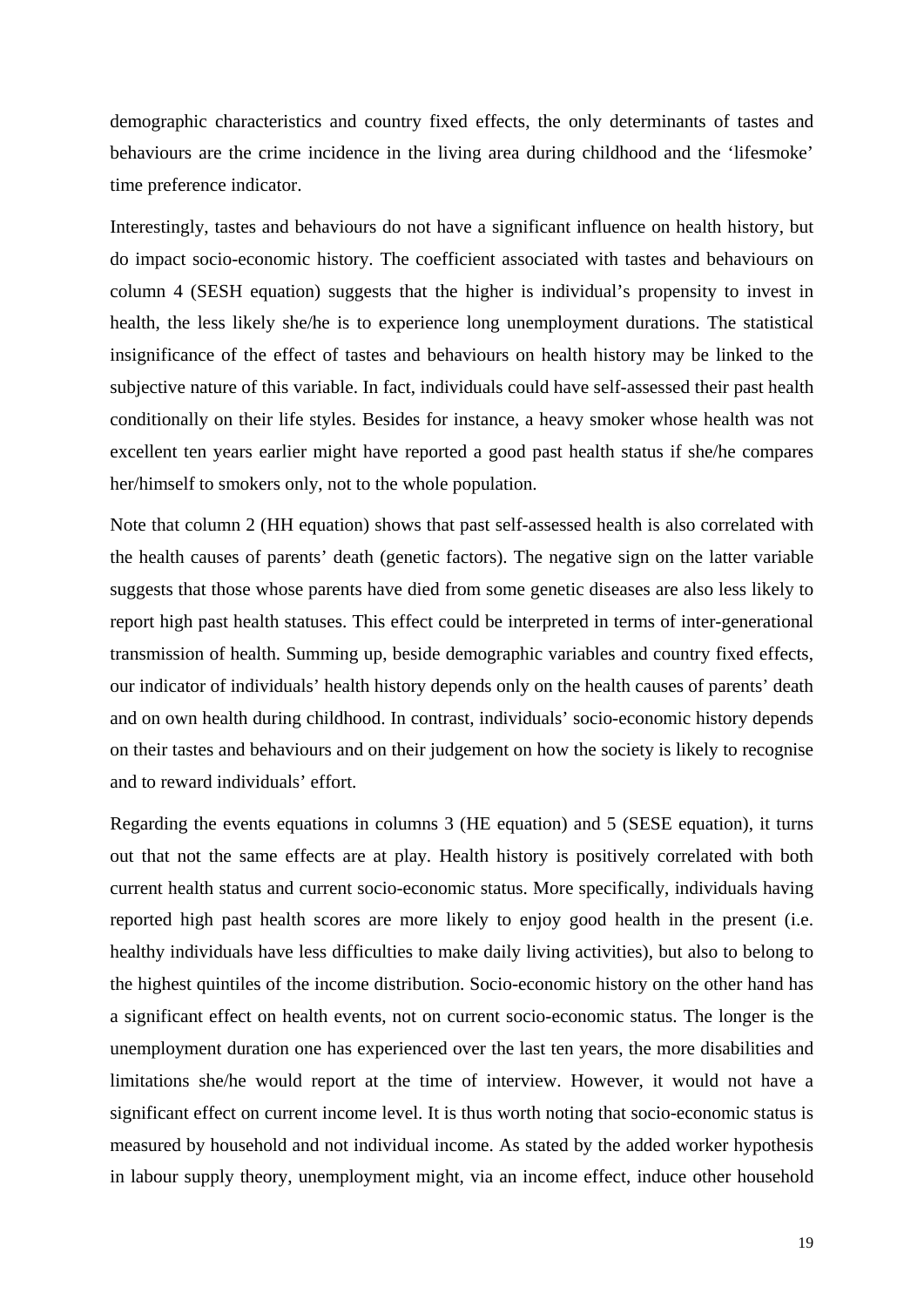demographic characteristics and country fixed effects, the only determinants of tastes and behaviours are the crime incidence in the living area during childhood and the 'lifesmoke' time preference indicator.

Interestingly, tastes and behaviours do not have a significant influence on health history, but do impact socio-economic history. The coefficient associated with tastes and behaviours on column 4 (SESH equation) suggests that the higher is individual's propensity to invest in health, the less likely she/he is to experience long unemployment durations. The statistical insignificance of the effect of tastes and behaviours on health history may be linked to the subjective nature of this variable. In fact, individuals could have self-assessed their past health conditionally on their life styles. Besides for instance, a heavy smoker whose health was not excellent ten years earlier might have reported a good past health status if she/he compares her/himself to smokers only, not to the whole population.

Note that column 2 (HH equation) shows that past self-assessed health is also correlated with the health causes of parents' death (genetic factors). The negative sign on the latter variable suggests that those whose parents have died from some genetic diseases are also less likely to report high past health statuses. This effect could be interpreted in terms of inter-generational transmission of health. Summing up, beside demographic variables and country fixed effects, our indicator of individuals' health history depends only on the health causes of parents' death and on own health during childhood. In contrast, individuals' socio-economic history depends on their tastes and behaviours and on their judgement on how the society is likely to recognise and to reward individuals' effort.

Regarding the events equations in columns 3 (HE equation) and 5 (SESE equation), it turns out that not the same effects are at play. Health history is positively correlated with both current health status and current socio-economic status. More specifically, individuals having reported high past health scores are more likely to enjoy good health in the present (i.e. healthy individuals have less difficulties to make daily living activities), but also to belong to the highest quintiles of the income distribution. Socio-economic history on the other hand has a significant effect on health events, not on current socio-economic status. The longer is the unemployment duration one has experienced over the last ten years, the more disabilities and limitations she/he would report at the time of interview. However, it would not have a significant effect on current income level. It is thus worth noting that socio-economic status is measured by household and not individual income. As stated by the added worker hypothesis in labour supply theory, unemployment might, via an income effect, induce other household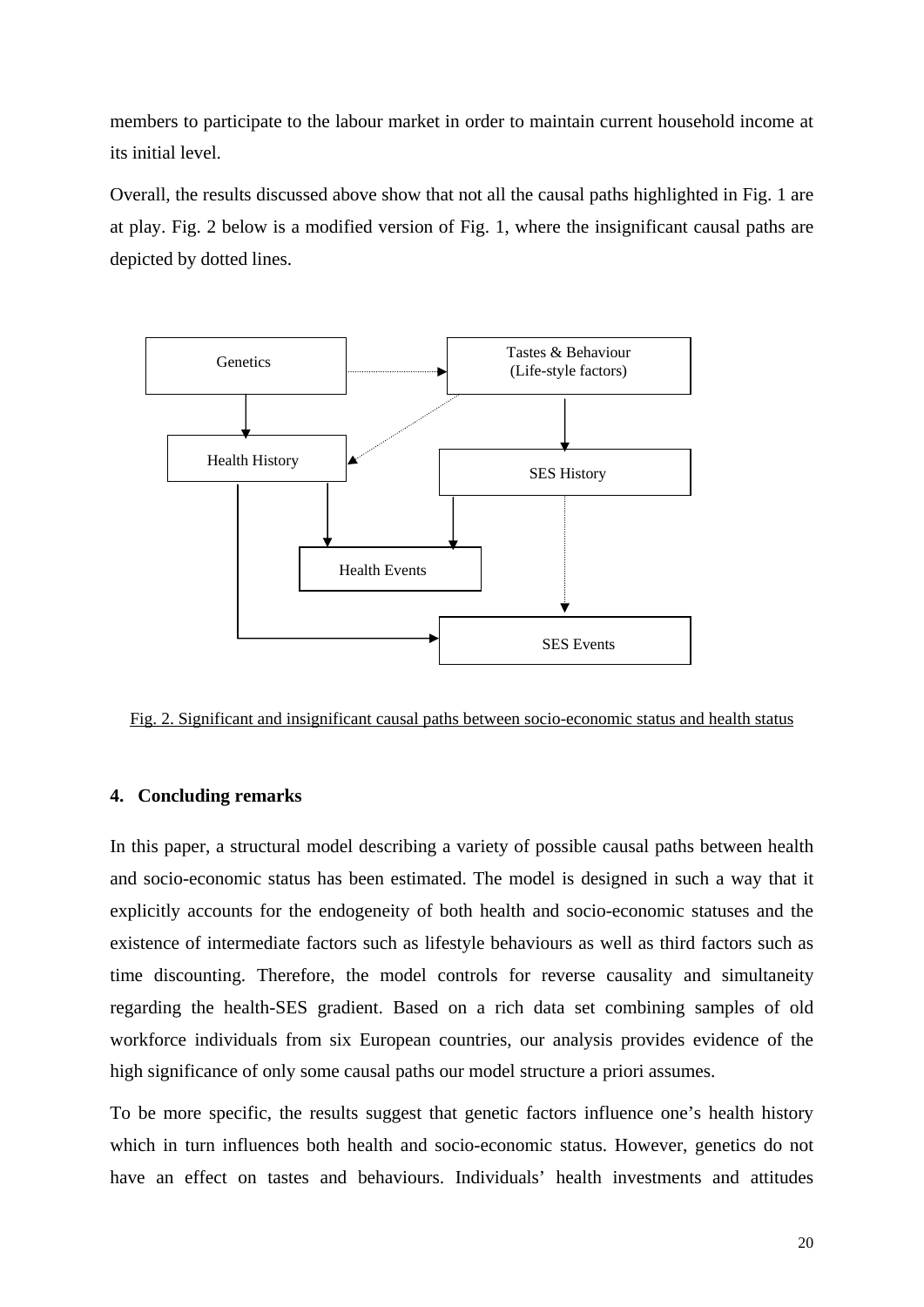members to participate to the labour market in order to maintain current household income at its initial level.

Overall, the results discussed above show that not all the causal paths highlighted in Fig. 1 are at play. Fig. 2 below is a modified version of Fig. 1, where the insignificant causal paths are depicted by dotted lines.



Fig. 2. Significant and insignificant causal paths between socio-economic status and health status

#### **4. Concluding remarks**

In this paper, a structural model describing a variety of possible causal paths between health and socio-economic status has been estimated. The model is designed in such a way that it explicitly accounts for the endogeneity of both health and socio-economic statuses and the existence of intermediate factors such as lifestyle behaviours as well as third factors such as time discounting. Therefore, the model controls for reverse causality and simultaneity regarding the health-SES gradient. Based on a rich data set combining samples of old workforce individuals from six European countries, our analysis provides evidence of the high significance of only some causal paths our model structure a priori assumes.

To be more specific, the results suggest that genetic factors influence one's health history which in turn influences both health and socio-economic status. However, genetics do not have an effect on tastes and behaviours. Individuals' health investments and attitudes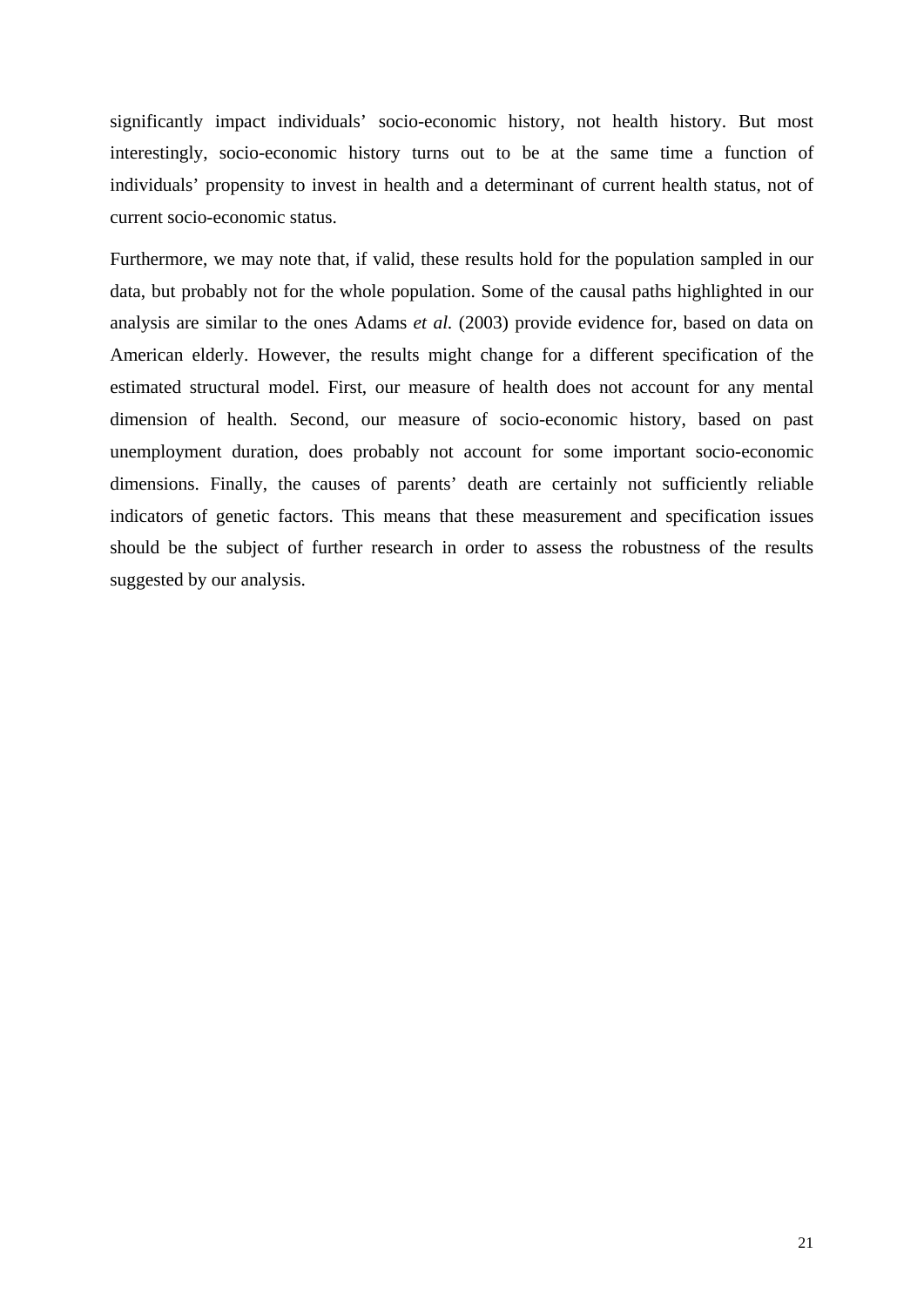significantly impact individuals' socio-economic history, not health history. But most interestingly, socio-economic history turns out to be at the same time a function of individuals' propensity to invest in health and a determinant of current health status, not of current socio-economic status.

Furthermore, we may note that, if valid, these results hold for the population sampled in our data, but probably not for the whole population. Some of the causal paths highlighted in our analysis are similar to the ones Adams *et al.* (2003) provide evidence for, based on data on American elderly. However, the results might change for a different specification of the estimated structural model. First, our measure of health does not account for any mental dimension of health. Second, our measure of socio-economic history, based on past unemployment duration, does probably not account for some important socio-economic dimensions. Finally, the causes of parents' death are certainly not sufficiently reliable indicators of genetic factors. This means that these measurement and specification issues should be the subject of further research in order to assess the robustness of the results suggested by our analysis.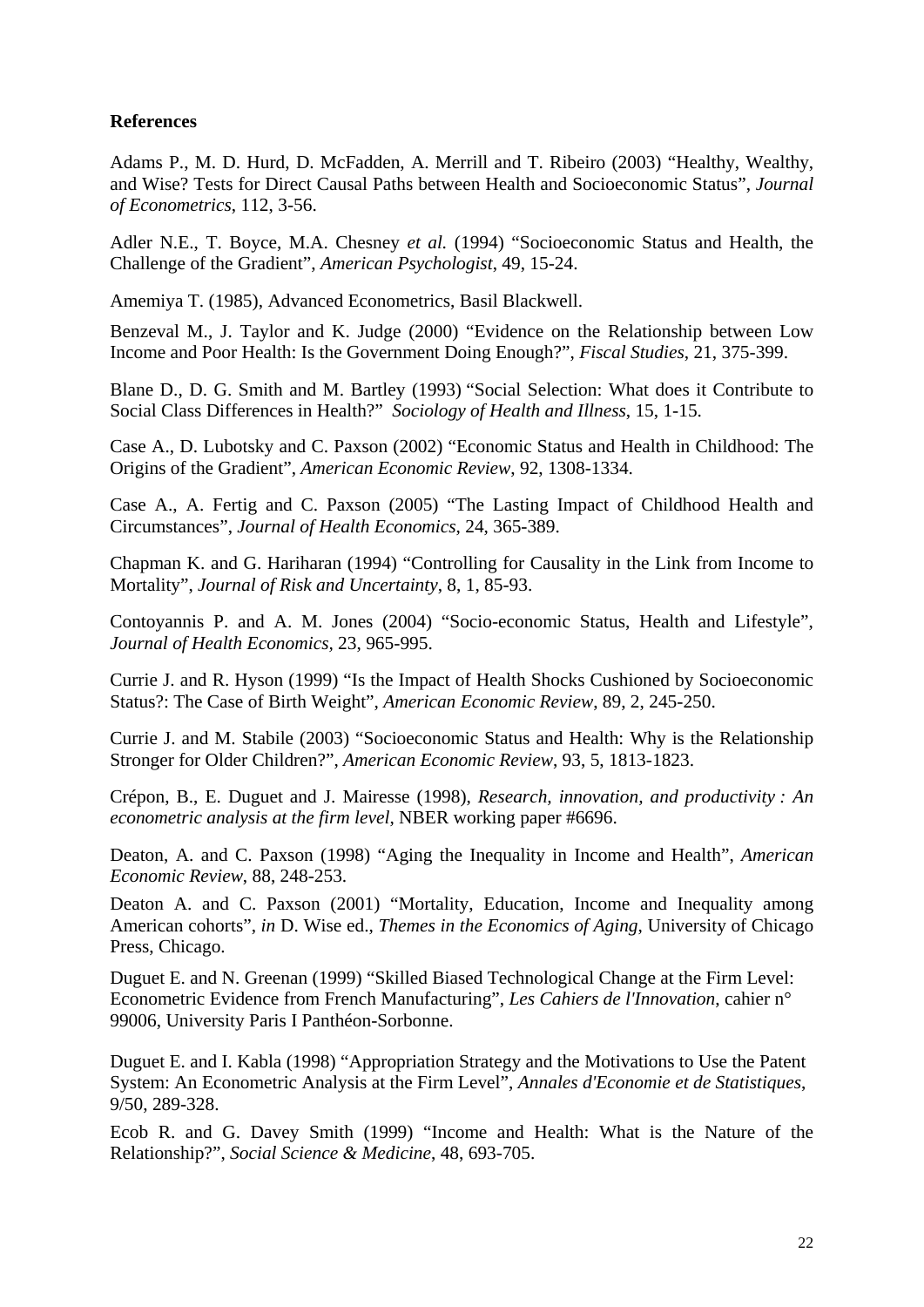## **References**

Adams P., M. D. Hurd, D. McFadden, A. Merrill and T. Ribeiro (2003) "Healthy, Wealthy, and Wise? Tests for Direct Causal Paths between Health and Socioeconomic Status", *Journal of Econometrics*, 112, 3-56.

Adler N.E., T. Boyce, M.A. Chesney *et al.* (1994) "Socioeconomic Status and Health, the Challenge of the Gradient", *American Psychologist*, 49, 15-24.

Amemiya T. (1985), Advanced Econometrics, Basil Blackwell.

Benzeval M., J. Taylor and K. Judge (2000) "Evidence on the Relationship between Low Income and Poor Health: Is the Government Doing Enough?", *Fiscal Studies*, 21, 375-399.

Blane D., D. G. Smith and M. Bartley (1993) "Social Selection: What does it Contribute to Social Class Differences in Health?" *Sociology of Health and Illness*, 15, 1-15.

Case A., D. Lubotsky and C. Paxson (2002) "Economic Status and Health in Childhood: The Origins of the Gradient", *American Economic Review*, 92, 1308-1334.

Case A., A. Fertig and C. Paxson (2005) "The Lasting Impact of Childhood Health and Circumstances", *Journal of Health Economics*, 24, 365-389.

Chapman K. and G. Hariharan (1994) "Controlling for Causality in the Link from Income to Mortality", *Journal of Risk and Uncertainty*, 8, 1, 85-93.

Contoyannis P. and A. M. Jones (2004) "Socio-economic Status, Health and Lifestyle", *Journal of Health Economics,* 23, 965-995.

Currie J. and R. Hyson (1999) "Is the Impact of Health Shocks Cushioned by Socioeconomic Status?: The Case of Birth Weight", *American Economic Review*, 89, 2, 245-250.

Currie J. and M. Stabile (2003) "Socioeconomic Status and Health: Why is the Relationship Stronger for Older Children?", *American Economic Review*, 93, 5, 1813-1823.

Crépon, B., E. Duguet and J. Mairesse (1998), *Research, innovation, and productivity : An econometric analysis at the firm level*, NBER working paper #6696.

Deaton, A. and C. Paxson (1998) "Aging the Inequality in Income and Health", *American Economic Review*, 88, 248-253.

Deaton A. and C. Paxson (2001) "Mortality, Education, Income and Inequality among American cohorts", *in* D. Wise ed., *Themes in the Economics of Aging*, University of Chicago Press, Chicago.

Duguet E. and N. Greenan (1999) "Skilled Biased Technological Change at the Firm Level: Econometric Evidence from French Manufacturing", *Les Cahiers de l'Innovation*, cahier n° 99006, University Paris I Panthéon-Sorbonne.

Duguet E. and I. Kabla (1998) "Appropriation Strategy and the Motivations to Use the Patent System: An Econometric Analysis at the Firm Level", *Annales d'Economie et de Statistiques*, 9/50, 289-328.

Ecob R. and G. Davey Smith (1999) "Income and Health: What is the Nature of the Relationship?", *Social Science & Medicine*, 48, 693-705.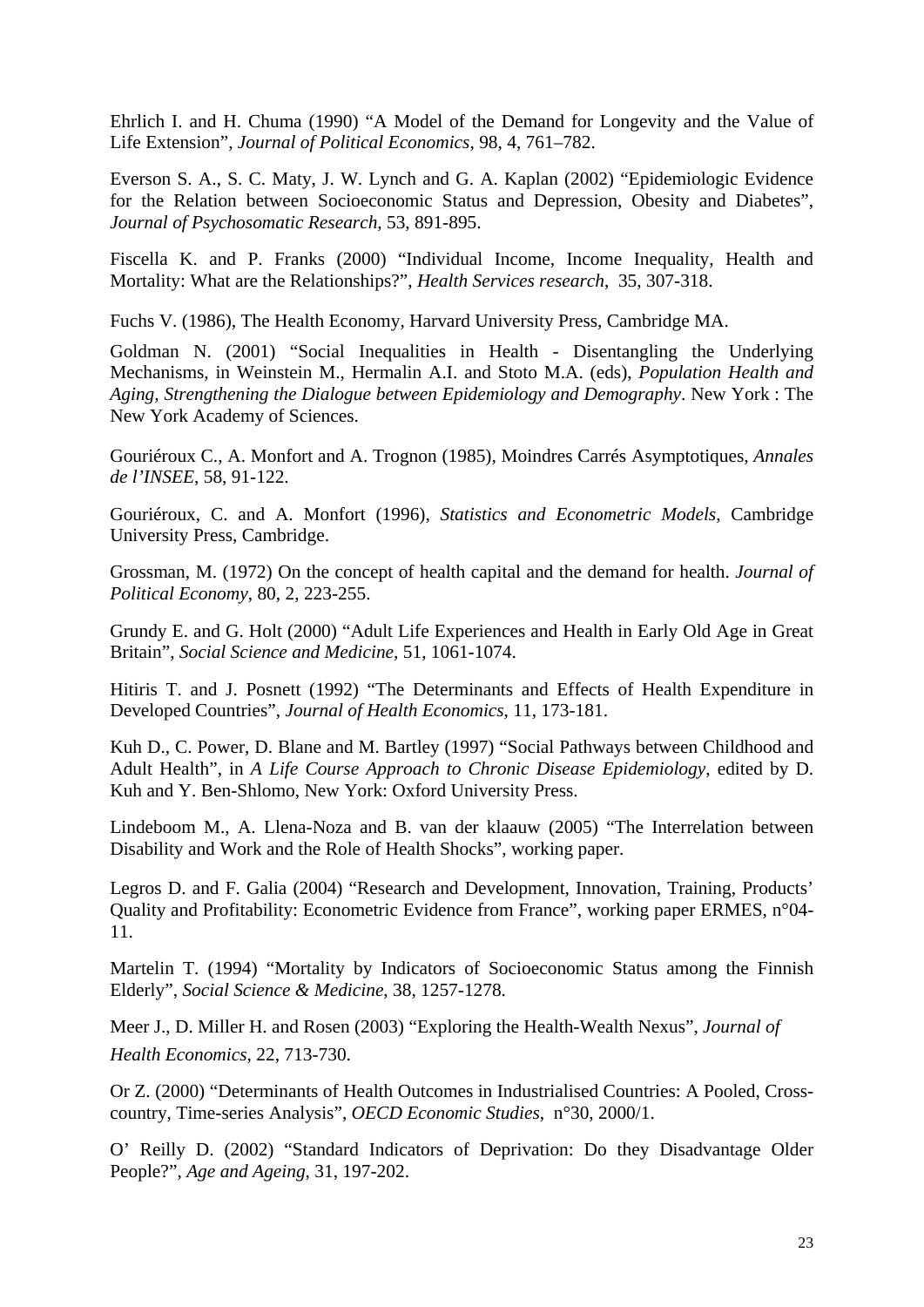Ehrlich I. and H. Chuma (1990) "A Model of the Demand for Longevity and the Value of Life Extension", *Journal of Political Economics*, 98, 4, 761–782.

Everson S. A., S. C. Maty, J. W. Lynch and G. A. Kaplan (2002) "Epidemiologic Evidence for the Relation between Socioeconomic Status and Depression, Obesity and Diabetes", *Journal of Psychosomatic Research*, 53, 891-895.

Fiscella K. and P. Franks (2000) "Individual Income, Income Inequality, Health and Mortality: What are the Relationships?", *Health Services research*, 35, 307-318.

Fuchs V. (1986), The Health Economy, Harvard University Press, Cambridge MA.

Goldman N. (2001) "Social Inequalities in Health - Disentangling the Underlying Mechanisms, in Weinstein M., Hermalin A.I. and Stoto M.A. (eds), *Population Health and Aging, Strengthening the Dialogue between Epidemiology and Demography*. New York : The New York Academy of Sciences.

Gouriéroux C., A. Monfort and A. Trognon (1985), Moindres Carrés Asymptotiques, *Annales de l'INSEE*, 58, 91-122.

Gouriéroux, C. and A. Monfort (1996), *Statistics and Econometric Models*, Cambridge University Press, Cambridge.

Grossman, M. (1972) On the concept of health capital and the demand for health. *Journal of Political Economy*, 80, 2, 223-255.

Grundy E. and G. Holt (2000) "Adult Life Experiences and Health in Early Old Age in Great Britain", *Social Science and Medicine*, 51, 1061-1074.

Hitiris T. and J. Posnett (1992) "The Determinants and Effects of Health Expenditure in Developed Countries", *Journal of Health Economics*, 11, 173-181.

Kuh D., C. Power, D. Blane and M. Bartley (1997) "Social Pathways between Childhood and Adult Health", in *A Life Course Approach to Chronic Disease Epidemiology*, edited by D. Kuh and Y. Ben-Shlomo, New York: Oxford University Press.

Lindeboom M., A. Llena-Noza and B. van der klaauw (2005) "The Interrelation between Disability and Work and the Role of Health Shocks", working paper.

Legros D. and F. Galia (2004) "Research and Development, Innovation, Training, Products' Quality and Profitability: Econometric Evidence from France", working paper ERMES, n°04- 11.

Martelin T. (1994) "Mortality by Indicators of Socioeconomic Status among the Finnish Elderly", *Social Science & Medicine*, 38, 1257-1278.

Meer J., D. Miller H. and Rosen (2003) "Exploring the Health-Wealth Nexus", *Journal of Health Economics*, 22, 713-730.

Or Z. (2000) "Determinants of Health Outcomes in Industrialised Countries: A Pooled, Crosscountry, Time-series Analysis", *OECD Economic Studies*, n°30, 2000/1.

O' Reilly D. (2002) "Standard Indicators of Deprivation: Do they Disadvantage Older People?", *Age and Ageing*, 31, 197-202.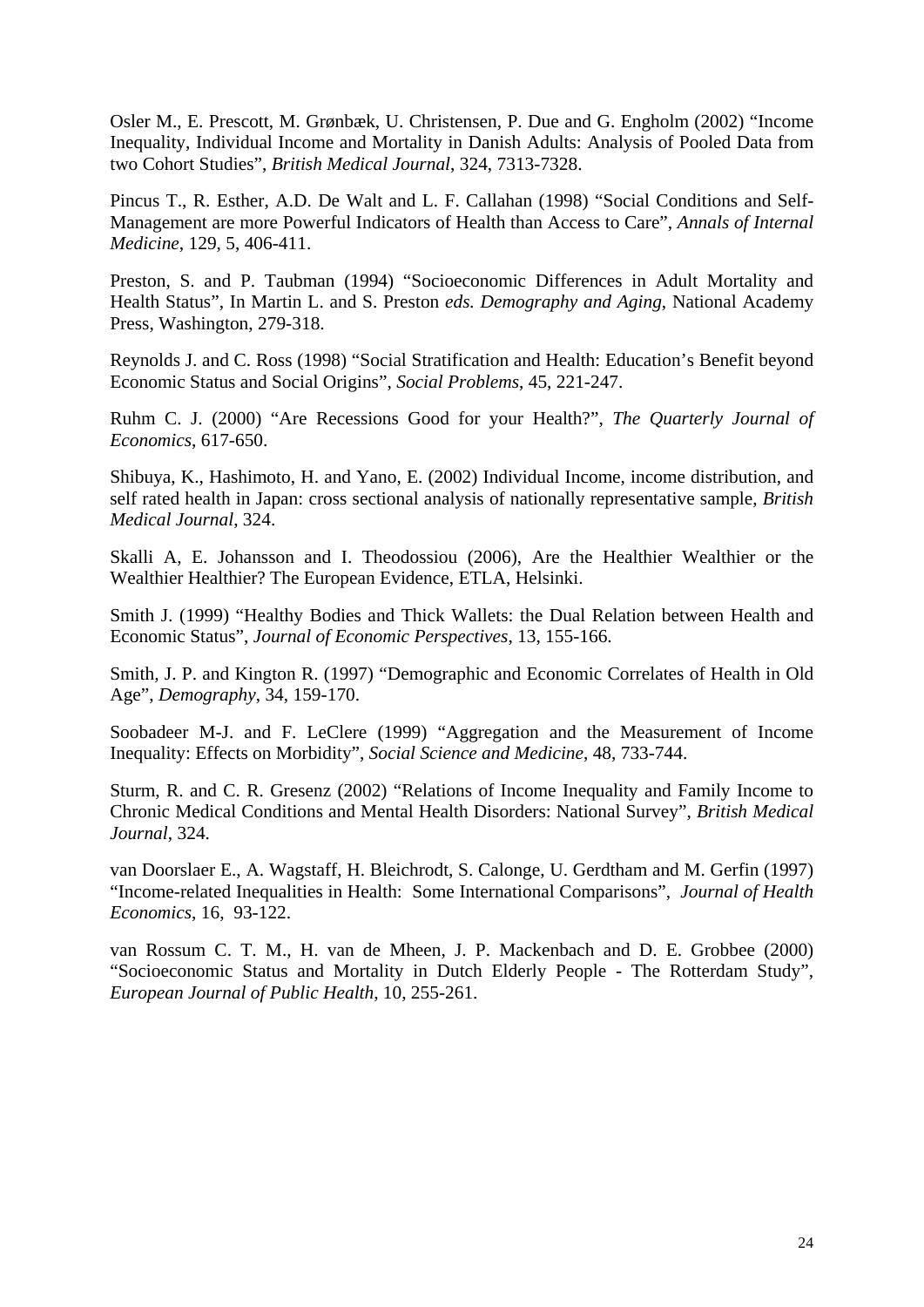Osler M., E. Prescott, M. Grønbæk, U. Christensen, P. Due and G. Engholm (2002) "Income Inequality, Individual Income and Mortality in Danish Adults: Analysis of Pooled Data from two Cohort Studies", *British Medical Journal*, 324, 7313-7328.

Pincus T., R. Esther, A.D. De Walt and L. F. Callahan (1998) "Social Conditions and Self-Management are more Powerful Indicators of Health than Access to Care", *Annals of Internal Medicine*, 129, 5, 406-411.

Preston, S. and P. Taubman (1994) "Socioeconomic Differences in Adult Mortality and Health Status", In Martin L. and S. Preston *eds. Demography and Aging*, National Academy Press, Washington, 279-318.

Reynolds J. and C. Ross (1998) "Social Stratification and Health: Education's Benefit beyond Economic Status and Social Origins", *Social Problems*, 45, 221-247.

Ruhm C. J. (2000) "Are Recessions Good for your Health?", *The Quarterly Journal of Economics*, 617-650.

Shibuya, K., Hashimoto, H. and Yano, E. (2002) Individual Income, income distribution, and self rated health in Japan: cross sectional analysis of nationally representative sample, *British Medical Journal*, 324.

Skalli A, E. Johansson and I. Theodossiou (2006), Are the Healthier Wealthier or the Wealthier Healthier? The European Evidence, ETLA, Helsinki.

Smith J. (1999) "Healthy Bodies and Thick Wallets: the Dual Relation between Health and Economic Status", *Journal of Economic Perspectives*, 13, 155-166.

Smith, J. P. and Kington R. (1997) "Demographic and Economic Correlates of Health in Old Age", *Demography*, 34, 159-170.

Soobadeer M-J. and F. LeClere (1999) "Aggregation and the Measurement of Income Inequality: Effects on Morbidity", *Social Science and Medicine*, 48, 733-744.

Sturm, R. and C. R. Gresenz (2002) "Relations of Income Inequality and Family Income to Chronic Medical Conditions and Mental Health Disorders: National Survey", *British Medical Journal*, 324.

van Doorslaer E., A. Wagstaff, H. Bleichrodt, S. Calonge, U. Gerdtham and M. Gerfin (1997) "Income-related Inequalities in Health: Some International Comparisons", *Journal of Health Economics*, 16, 93-122.

van Rossum C. T. M., H. van de Mheen, J. P. Mackenbach and D. E. Grobbee (2000) "Socioeconomic Status and Mortality in Dutch Elderly People - The Rotterdam Study", *European Journal of Public Health*, 10, 255-261.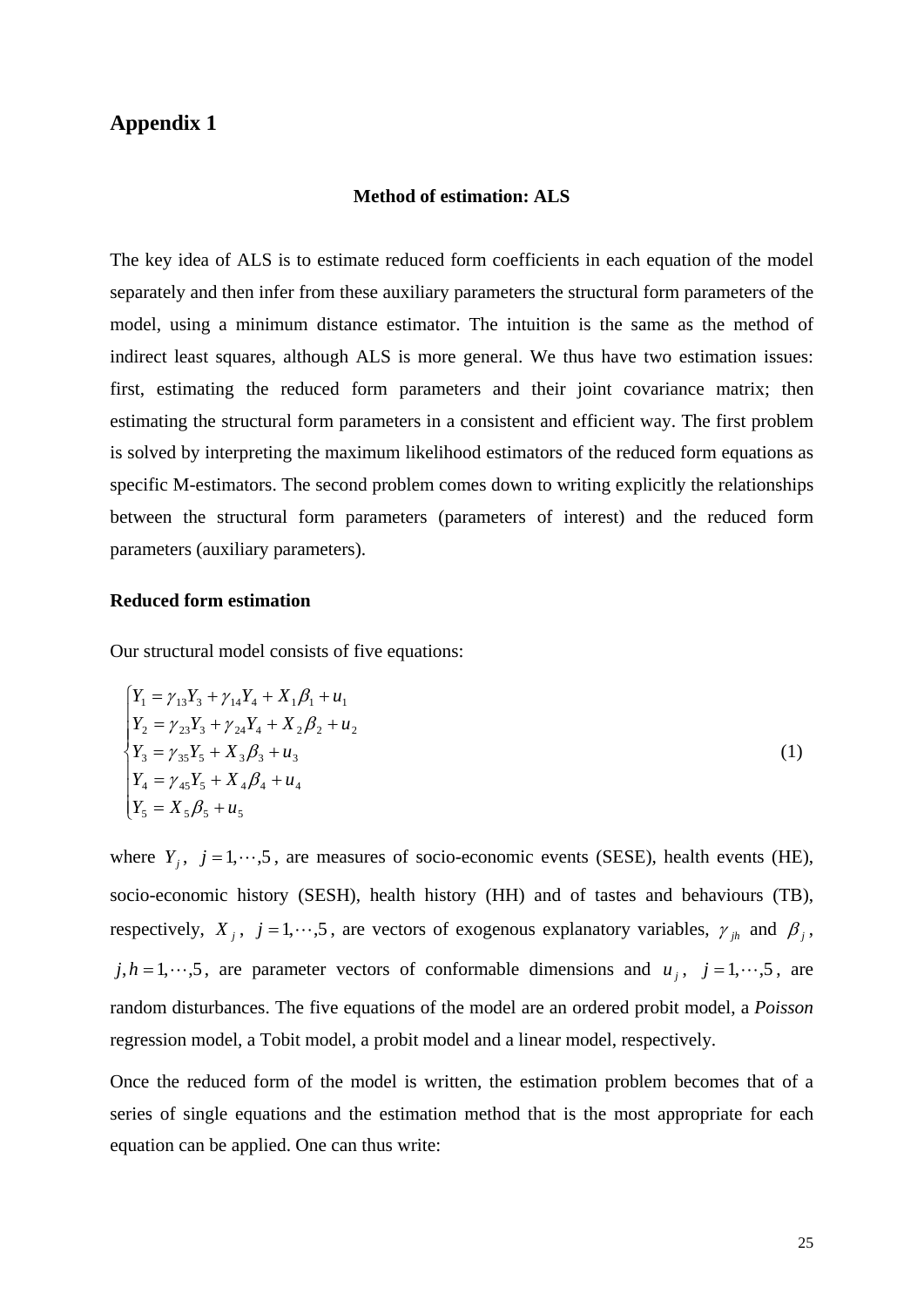## **Appendix 1**

## **Method of estimation: ALS**

The key idea of ALS is to estimate reduced form coefficients in each equation of the model separately and then infer from these auxiliary parameters the structural form parameters of the model, using a minimum distance estimator. The intuition is the same as the method of indirect least squares, although ALS is more general. We thus have two estimation issues: first, estimating the reduced form parameters and their joint covariance matrix; then estimating the structural form parameters in a consistent and efficient way. The first problem is solved by interpreting the maximum likelihood estimators of the reduced form equations as specific M-estimators. The second problem comes down to writing explicitly the relationships between the structural form parameters (parameters of interest) and the reduced form parameters (auxiliary parameters).

#### **Reduced form estimation**

Our structural model consists of five equations:

$$
\begin{cases}\nY_1 = \gamma_{13}Y_3 + \gamma_{14}Y_4 + X_1\beta_1 + u_1 \\
Y_2 = \gamma_{23}Y_3 + \gamma_{24}Y_4 + X_2\beta_2 + u_2 \\
Y_3 = \gamma_{35}Y_5 + X_3\beta_3 + u_3 \\
Y_4 = \gamma_{45}Y_5 + X_4\beta_4 + u_4 \\
Y_5 = X_5\beta_5 + u_5\n\end{cases}
$$
\n(1)

where  $Y_i$ ,  $j = 1, \dots, 5$ , are measures of socio-economic events (SESE), health events (HE), socio-economic history (SESH), health history (HH) and of tastes and behaviours (TB), respectively,  $X_j$ ,  $j = 1, \dots, 5$ , are vectors of exogenous explanatory variables,  $\gamma_{jk}$  and  $\beta_j$ ,  $j, h = 1, \dots, 5$ , are parameter vectors of conformable dimensions and  $u_j$ ,  $j = 1, \dots, 5$ , are random disturbances. The five equations of the model are an ordered probit model, a *Poisson* regression model, a Tobit model, a probit model and a linear model, respectively.

Once the reduced form of the model is written, the estimation problem becomes that of a series of single equations and the estimation method that is the most appropriate for each equation can be applied. One can thus write: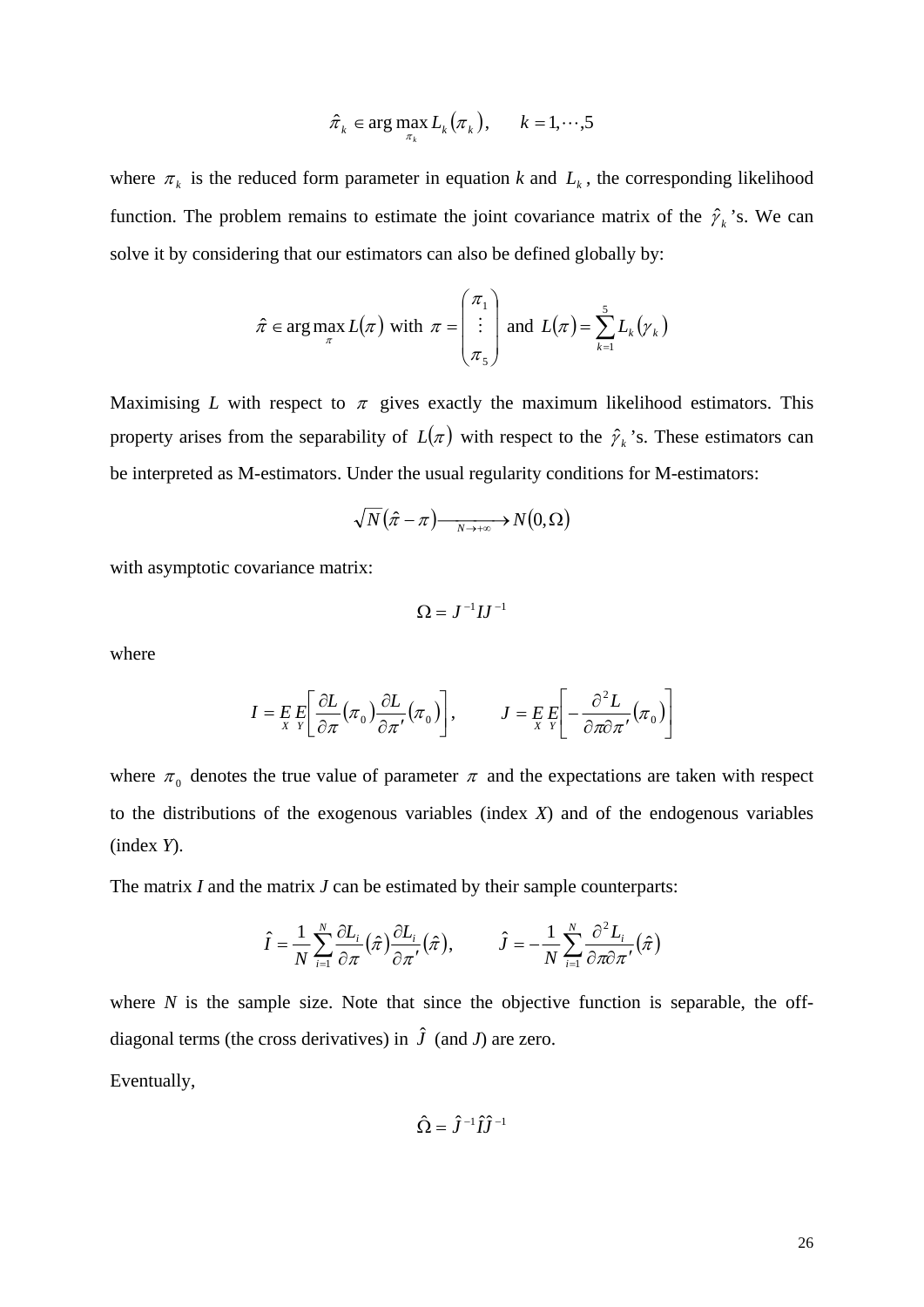$$
\hat{\pi}_k \in \arg \max_{\pi_k} L_k(\pi_k), \qquad k = 1, \cdots, 5
$$

where  $\pi_k$  is the reduced form parameter in equation *k* and  $L_k$ , the corresponding likelihood function. The problem remains to estimate the joint covariance matrix of the  $\hat{\gamma}_k$ 's. We can solve it by considering that our estimators can also be defined globally by:

$$
\hat{\pi} \in \arg \max_{\pi} L(\pi) \text{ with } \pi = \begin{pmatrix} \pi_1 \\ \vdots \\ \pi_5 \end{pmatrix} \text{ and } L(\pi) = \sum_{k=1}^{5} L_k(\gamma_k)
$$

Maximising *L* with respect to  $\pi$  gives exactly the maximum likelihood estimators. This property arises from the separability of  $L(\pi)$  with respect to the  $\hat{\gamma}_k$ 's. These estimators can be interpreted as M-estimators. Under the usual regularity conditions for M-estimators:

$$
\sqrt{N}(\hat{\pi} - \pi) \longrightarrow N(0, \Omega)
$$

with asymptotic covariance matrix:

$$
\Omega = J^{-1}IJ^{-1}
$$

where

$$
I = E E \left[ \frac{\partial L}{\partial \pi} (\pi_0) \frac{\partial L}{\partial \pi'} (\pi_0) \right], \qquad J = E E \left[ - \frac{\partial^2 L}{\partial \pi \partial \pi'} (\pi_0) \right]
$$

where  $\pi_0$  denotes the true value of parameter  $\pi$  and the expectations are taken with respect to the distributions of the exogenous variables (index *X*) and of the endogenous variables (index *Y*).

The matrix *I* and the matrix *J* can be estimated by their sample counterparts:

$$
\hat{I} = \frac{1}{N} \sum_{i=1}^{N} \frac{\partial L_i}{\partial \pi} (\hat{\pi}) \frac{\partial L_i}{\partial \pi'} (\hat{\pi}), \qquad \hat{J} = -\frac{1}{N} \sum_{i=1}^{N} \frac{\partial^2 L_i}{\partial \pi \partial \pi'} (\hat{\pi})
$$

where  $N$  is the sample size. Note that since the objective function is separable, the offdiagonal terms (the cross derivatives) in  $\hat{J}$  (and *J*) are zero.

Eventually,

$$
\hat{\Omega}=\hat{J}^{-1}\hat{I}\hat{J}^{-1}
$$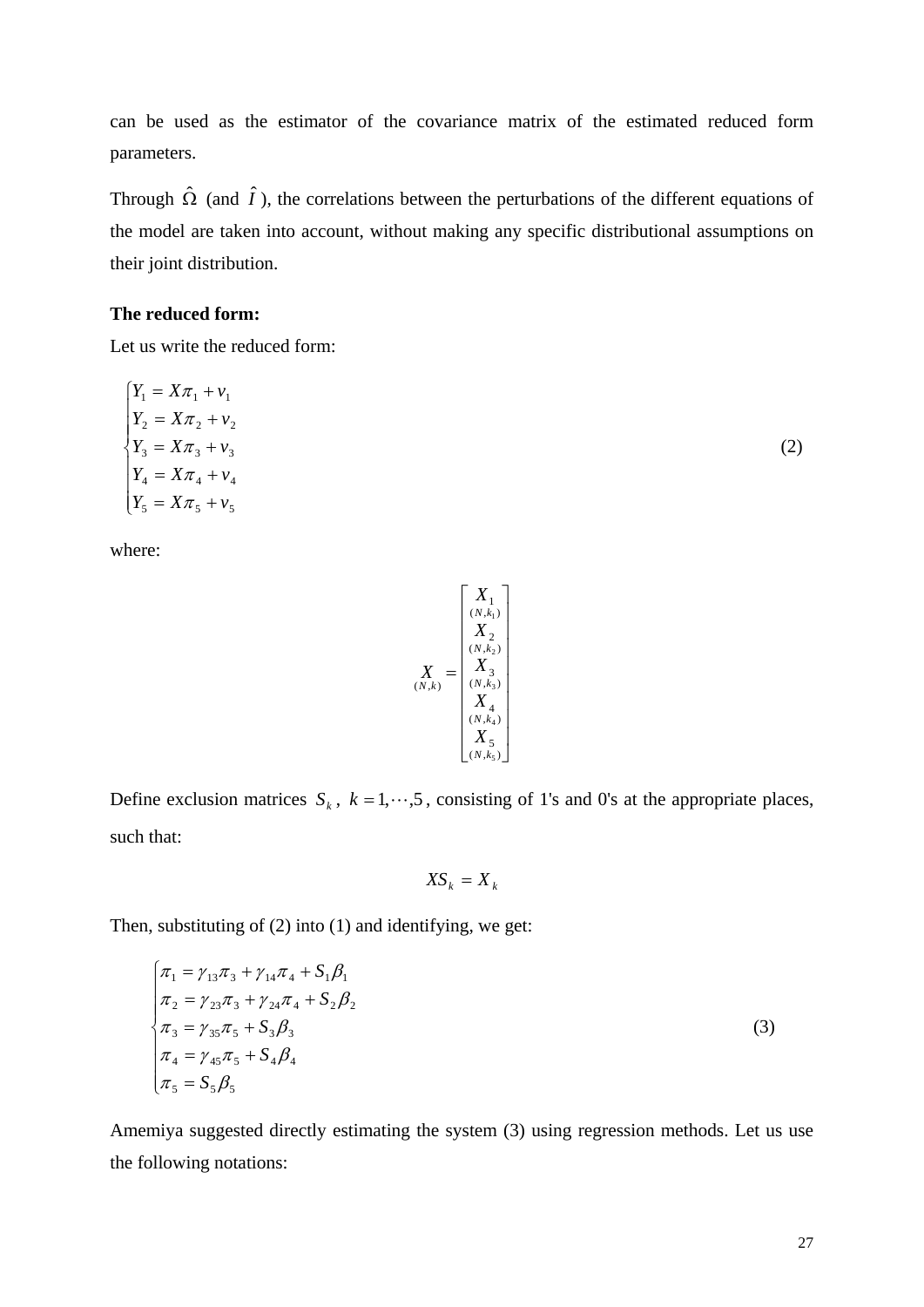can be used as the estimator of the covariance matrix of the estimated reduced form parameters.

Through  $\hat{\Omega}$  (and  $\hat{I}$ ), the correlations between the perturbations of the different equations of the model are taken into account, without making any specific distributional assumptions on their joint distribution.

## **The reduced form:**

Let us write the reduced form:

$$
\begin{cases}\nY_1 = X\pi_1 + v_1 \\
Y_2 = X\pi_2 + v_2 \\
Y_3 = X\pi_3 + v_3 \\
Y_4 = X\pi_4 + v_4 \\
Y_5 = X\pi_5 + v_5\n\end{cases}
$$
\n(2)

where:

Define exclusion matrices 
$$
S_k
$$
,  $k = 1, \dots, 5$ , consisting of 1's and 0's at the appropriate places, such that:

 $\vert$  $\lfloor$  $\vert$  $\vert$  $\vert$  $\lfloor$  $\vert$  $\vert$ 

=

 $(N, k)$ 

*N k*

*X*

 $\overline{\phantom{a}}$ 

 $\left( N,\check{k_5} \right)$ 

*X*

*N k*

*X*

 $\Lambda$ <sup>3</sup><br> $(N, k_3)$ 

*N k*

 $\mathbb{Z}_2$ <br> $(N, k_2)$ 

*N k*

*X*

*X*

 $\begin{array}{c} \n\blacktriangle \mathbf{1} \\
(N, k_1)\n\end{array}$ 

*N k*

*X*

5  $(X_4)$ <br>( $N, k_4$ )

4

3

2

1

⎥ ⎥ ⎥ ⎥ ⎥ ⎥ ⎥ ⎥

⎤

 $\overline{\phantom{a}}$ 

$$
XS_k = X_k
$$

Then, substituting of (2) into (1) and identifying, we get:

$$
\begin{cases}\n\pi_1 = \gamma_{13}\pi_3 + \gamma_{14}\pi_4 + S_1\beta_1 \\
\pi_2 = \gamma_{23}\pi_3 + \gamma_{24}\pi_4 + S_2\beta_2 \\
\pi_3 = \gamma_{35}\pi_5 + S_3\beta_3 \\
\pi_4 = \gamma_{45}\pi_5 + S_4\beta_4 \\
\pi_5 = S_5\beta_5\n\end{cases}
$$
\n(3)

Amemiya suggested directly estimating the system (3) using regression methods. Let us use the following notations: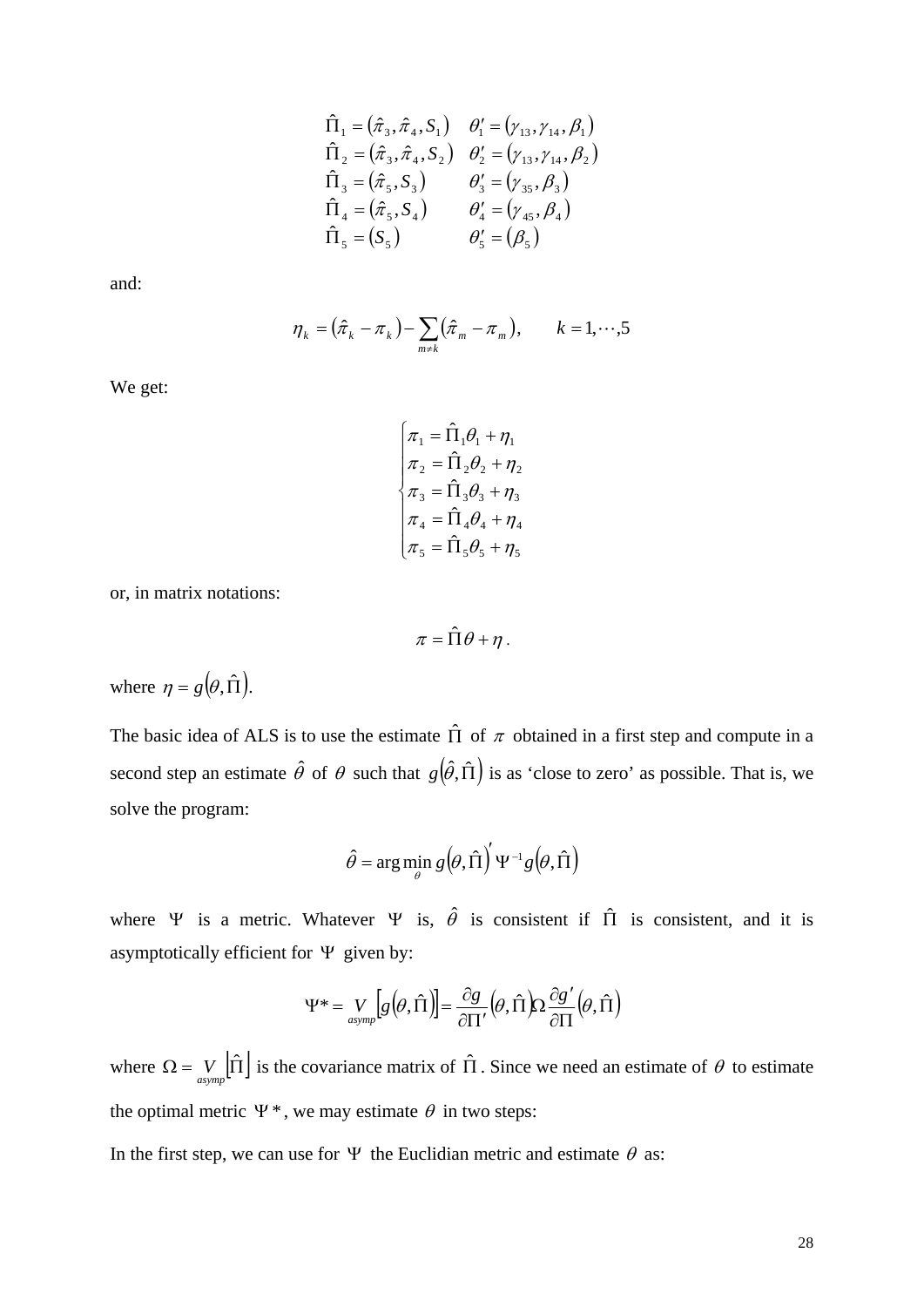$$
\hat{\Pi}_1 = (\hat{\pi}_3, \hat{\pi}_4, S_1) \quad \theta'_1 = (\gamma_{13}, \gamma_{14}, \beta_1) \n\hat{\Pi}_2 = (\hat{\pi}_3, \hat{\pi}_4, S_2) \quad \theta'_2 = (\gamma_{13}, \gamma_{14}, \beta_2) \n\hat{\Pi}_3 = (\hat{\pi}_5, S_3) \quad \theta'_3 = (\gamma_{35}, \beta_3) \n\hat{\Pi}_4 = (\hat{\pi}_5, S_4) \quad \theta'_4 = (\gamma_{45}, \beta_4) \n\hat{\Pi}_5 = (S_5) \quad \theta'_5 = (\beta_5)
$$

and:

$$
\eta_k = (\hat{\pi}_k - \pi_k) - \sum_{m \neq k} (\hat{\pi}_m - \pi_m), \qquad k = 1, \cdots, 5
$$

We get:

$$
\begin{cases}\n\pi_1 = \hat{\Pi}_1 \theta_1 + \eta_1 \\
\pi_2 = \hat{\Pi}_2 \theta_2 + \eta_2 \\
\pi_3 = \hat{\Pi}_3 \theta_3 + \eta_3 \\
\pi_4 = \hat{\Pi}_4 \theta_4 + \eta_4 \\
\pi_5 = \hat{\Pi}_5 \theta_5 + \eta_5\n\end{cases}
$$

or, in matrix notations:

 $\pi = \hat{\Pi}\theta + \eta$ .

where  $\eta = g(\theta, \hat{\Pi})$ .

The basic idea of ALS is to use the estimate  $\hat{\Pi}$  of  $\pi$  obtained in a first step and compute in a second step an estimate  $\hat{\theta}$  of  $\theta$  such that  $g(\hat{\theta}, \hat{\Pi})$  is as 'close to zero' as possible. That is, we solve the program:

$$
\hat{\theta} = \arg\min_{\theta} g(\theta, \hat{\Pi})' \Psi^{-1} g(\theta, \hat{\Pi})
$$

where  $\Psi$  is a metric. Whatever  $\Psi$  is,  $\hat{\theta}$  is consistent if  $\Pi$  is consistent, and it is asymptotically efficient for  $\Psi$  given by:

$$
\Psi^* = \underset{asymp}{V} \left[g\left(\theta, \hat{\Pi}\right)\right] = \frac{\partial g}{\partial \Pi'}\left(\theta, \hat{\Pi}\right) \Omega \frac{\partial g'}{\partial \Pi'}\left(\theta, \hat{\Pi}\right)
$$

where  $\Omega = V_{asymp}$   $|\hat{\Pi}|$  is the covariance matrix of  $\hat{\Pi}$ . Since we need an estimate of  $\theta$  to estimate the optimal metric  $\Psi^*$ , we may estimate  $\theta$  in two steps:

In the first step, we can use for  $\Psi$  the Euclidian metric and estimate  $\theta$  as: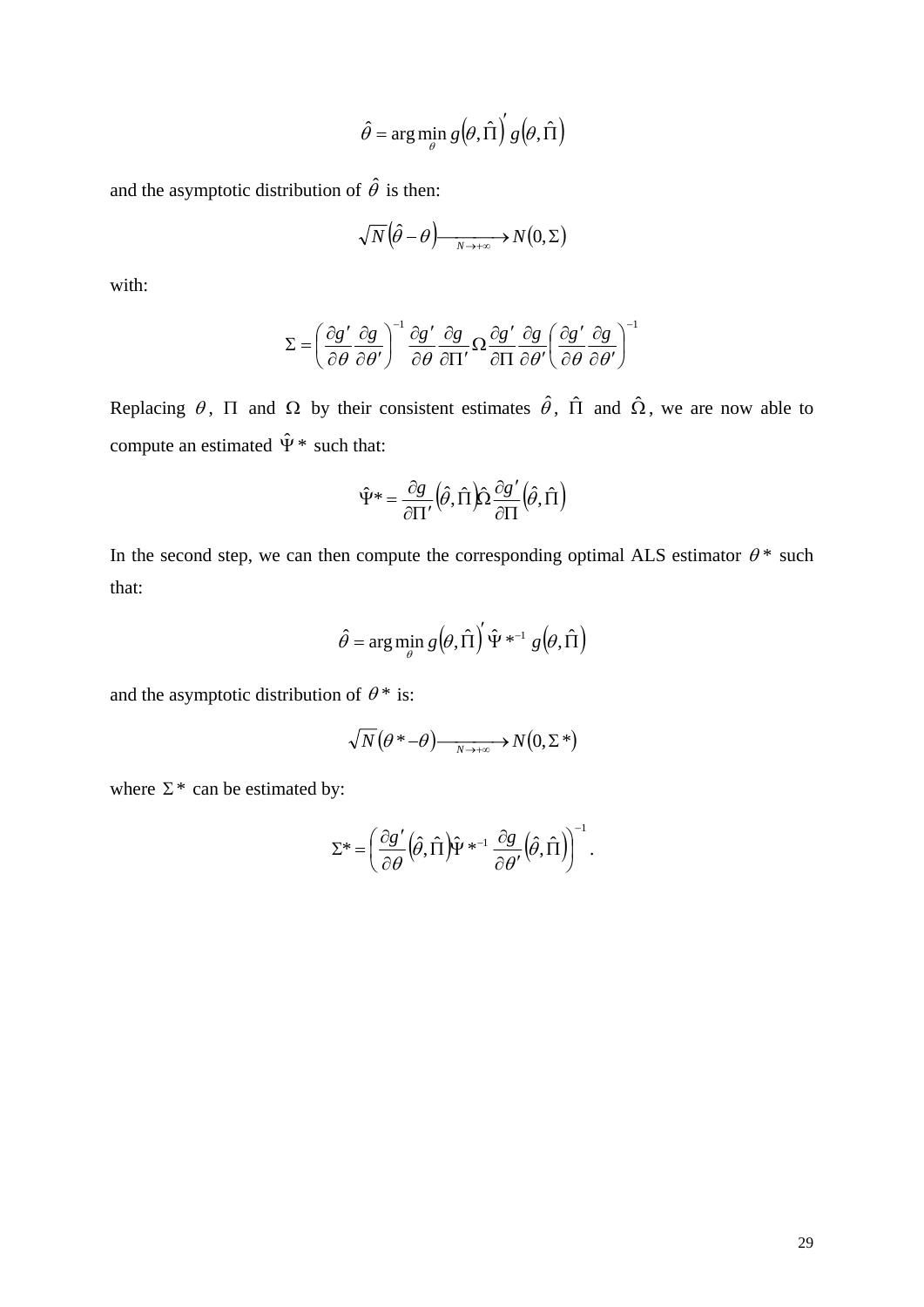$$
\hat{\theta} = \arg\min_{\theta} g(\theta, \hat{\Pi})' g(\theta, \hat{\Pi})
$$

and the asymptotic distribution of  $\hat{\theta}$  is then:

$$
\sqrt{N}\left(\hat{\theta}-\theta\right)\xrightarrow[N\to+\infty]{}N(0,\Sigma)
$$

with:

$$
\Sigma = \left(\frac{\partial g'}{\partial \theta} \frac{\partial g}{\partial \theta'}\right)^{-1} \frac{\partial g'}{\partial \theta} \frac{\partial g}{\partial \Pi'} \Omega \frac{\partial g'}{\partial \Pi} \frac{\partial g}{\partial \theta'} \left(\frac{\partial g'}{\partial \theta} \frac{\partial g}{\partial \theta'}\right)^{-1}
$$

Replacing  $\theta$ ,  $\Pi$  and  $\Omega$  by their consistent estimates  $\hat{\theta}$ ,  $\hat{\Pi}$  and  $\hat{\Omega}$ , we are now able to compute an estimated  $\hat{\Psi}^*$  such that:

$$
\hat{\Psi}^* = \frac{\partial g}{\partial \Pi'} \left( \hat{\theta}, \hat{\Pi} \right) \hat{\Omega} \frac{\partial g'}{\partial \Pi} \left( \hat{\theta}, \hat{\Pi} \right)
$$

In the second step, we can then compute the corresponding optimal ALS estimator  $\theta^*$  such that:

$$
\hat{\theta} = \arg\min_{\theta} g(\theta, \hat{\Pi})' \hat{\Psi}^{*-1} g(\theta, \hat{\Pi})
$$

and the asymptotic distribution of  $\theta^*$  is:

$$
\sqrt{N}(\theta^* - \theta) \xrightarrow[N \to +\infty]{} N(0, \Sigma^*)
$$

where  $\Sigma^*$  can be estimated by:

$$
\Sigma^* = \left(\frac{\partial g'}{\partial \theta} \left(\hat{\theta}, \hat{\Pi}\right) \hat{\Psi}^{*^{-1}} \frac{\partial g}{\partial \theta'} \left(\hat{\theta}, \hat{\Pi}\right)\right)^{-1}.
$$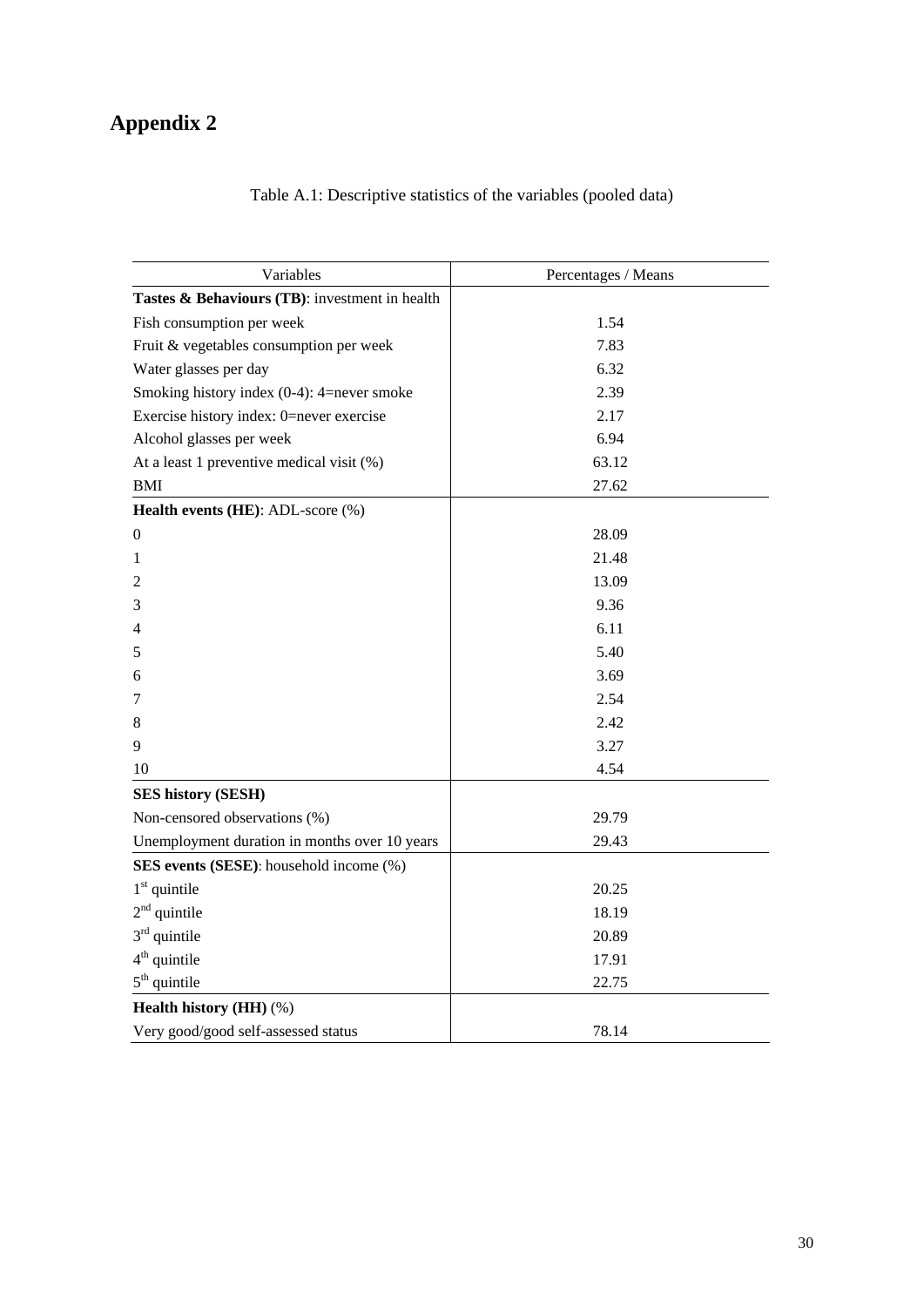# **Appendix 2**

| Table A.1: Descriptive statistics of the variables (pooled data) |  |  |  |  |
|------------------------------------------------------------------|--|--|--|--|
|------------------------------------------------------------------|--|--|--|--|

| Variables                                      | Percentages / Means |  |  |  |  |
|------------------------------------------------|---------------------|--|--|--|--|
| Tastes & Behaviours (TB): investment in health |                     |  |  |  |  |
| Fish consumption per week                      | 1.54                |  |  |  |  |
| Fruit & vegetables consumption per week        | 7.83                |  |  |  |  |
| Water glasses per day                          | 6.32                |  |  |  |  |
| Smoking history index (0-4): 4=never smoke     | 2.39                |  |  |  |  |
| Exercise history index: 0=never exercise       | 2.17                |  |  |  |  |
| Alcohol glasses per week                       | 6.94                |  |  |  |  |
| At a least 1 preventive medical visit (%)      | 63.12               |  |  |  |  |
| <b>BMI</b>                                     | 27.62               |  |  |  |  |
| Health events (HE): ADL-score (%)              |                     |  |  |  |  |
| 0                                              | 28.09               |  |  |  |  |
| 1                                              | 21.48               |  |  |  |  |
| 2                                              | 13.09               |  |  |  |  |
| 3                                              | 9.36                |  |  |  |  |
| 4                                              | 6.11                |  |  |  |  |
| 5                                              | 5.40                |  |  |  |  |
| 6                                              | 3.69                |  |  |  |  |
| 7                                              | 2.54                |  |  |  |  |
| 8                                              | 2.42                |  |  |  |  |
| 9                                              | 3.27                |  |  |  |  |
| 10                                             | 4.54                |  |  |  |  |
| <b>SES history (SESH)</b>                      |                     |  |  |  |  |
| Non-censored observations (%)                  | 29.79               |  |  |  |  |
| Unemployment duration in months over 10 years  | 29.43               |  |  |  |  |
| SES events (SESE): household income (%)        |                     |  |  |  |  |
| $1st$ quintile                                 | 20.25               |  |  |  |  |
| $2nd$ quintile                                 | 18.19               |  |  |  |  |
| $3rd$ quintile                                 | 20.89               |  |  |  |  |
| $4th$ quintile                                 | 17.91               |  |  |  |  |
| $5th$ quintile                                 | 22.75               |  |  |  |  |
| Health history (HH) (%)                        |                     |  |  |  |  |
| Very good/good self-assessed status            | 78.14               |  |  |  |  |